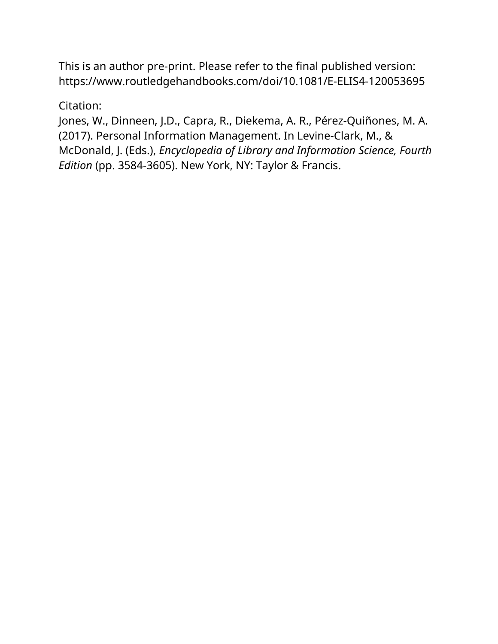This is an author pre-print. Please refer to the final published version: <https://www.routledgehandbooks.com/doi/10.1081/E-ELIS4-120053695>

### Citation:

Jones, W., Dinneen, J.D., Capra, R., Diekema, A. R., Pérez-Quiñones, M. A. (2017). Personal Information Management. In Levine-Clark, M., & McDonald, J. (Eds.), *Encyclopedia of Library and Information Science, Fourth Edition* (pp. 3584-3605). New York, NY: Taylor & Francis.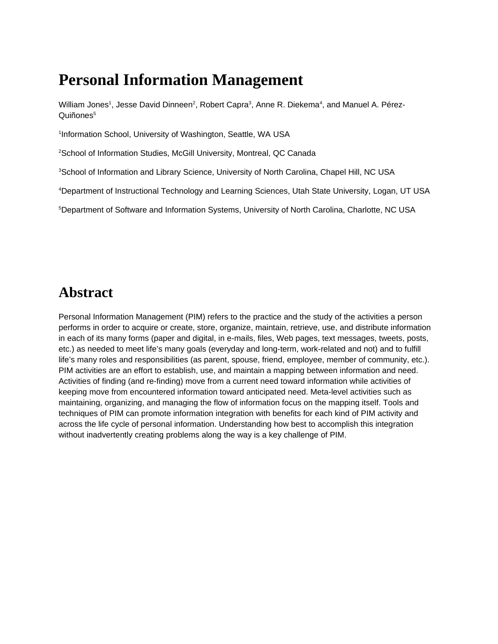# **Personal Information Management**

William Jones<sup>1</sup>, Jesse David Dinneen<sup>2</sup>, Robert Capra<sup>3</sup>, Anne R. Diekema<sup>4</sup>, and Manuel A. Pérez-Quiñones<sup>5</sup>

1 Information School, University of Washington, Seattle, WA USA

<sup>2</sup>School of Information Studies, McGill University, Montreal, QC Canada

<sup>3</sup>School of Information and Library Science, University of North Carolina, Chapel Hill, NC USA

<sup>4</sup>Department of Instructional Technology and Learning Sciences, Utah State University, Logan, UT USA

<sup>5</sup>Department of Software and Information Systems, University of North Carolina, Charlotte, NC USA

# **Abstract**

Personal Information Management (PIM) refers to the practice and the study of the activities a person performs in order to acquire or create, store, organize, maintain, retrieve, use, and distribute information in each of its many forms (paper and digital, in e-mails, files, Web pages, text messages, tweets, posts, etc.) as needed to meet life's many goals (everyday and long-term, work-related and not) and to fulfill life's many roles and responsibilities (as parent, spouse, friend, employee, member of community, etc.). PIM activities are an effort to establish, use, and maintain a mapping between information and need. Activities of finding (and re-finding) move from a current need toward information while activities of keeping move from encountered information toward anticipated need. Meta-level activities such as maintaining, organizing, and managing the flow of information focus on the mapping itself. Tools and techniques of PIM can promote information integration with benefits for each kind of PIM activity and across the life cycle of personal information. Understanding how best to accomplish this integration without inadvertently creating problems along the way is a key challenge of PIM.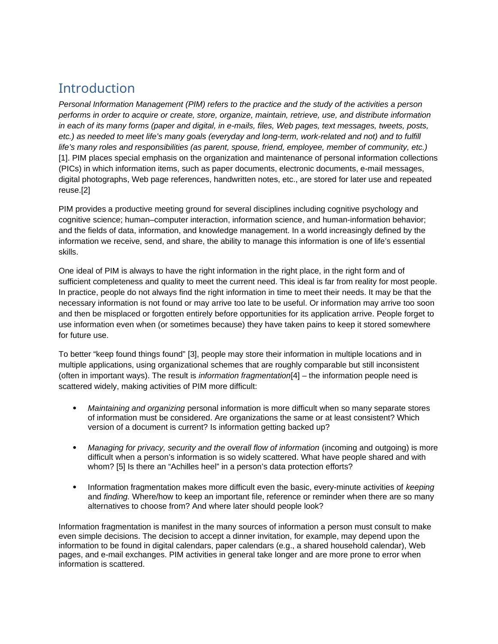## **Introduction**

*Personal Information Management (PIM) refers to the practice and the study of the activities a person performs in order to acquire or create, store, organize, maintain, retrieve, use, and distribute information in each of its many forms (paper and digital, in e-mails, files, Web pages, text messages, tweets, posts, etc.) as needed to meet life's many goals (everyday and long-term, work-related and not) and to fulfill life's many roles and responsibilities (as parent, spouse, friend, employee, member of community, etc.)* [1]. PIM places special emphasis on the organization and maintenance of personal information collections (PICs) in which information items, such as paper documents, electronic documents, e-mail messages, digital photographs, Web page references, handwritten notes, etc., are stored for later use and repeated reuse.[2]

PIM provides a productive meeting ground for several disciplines including cognitive psychology and cognitive science; human–computer interaction, information science, and human-information behavior; and the fields of data, information, and knowledge management. In a world increasingly defined by the information we receive, send, and share, the ability to manage this information is one of life's essential skills.

One ideal of PIM is always to have the right information in the right place, in the right form and of sufficient completeness and quality to meet the current need. This ideal is far from reality for most people. In practice, people do not always find the right information in time to meet their needs. It may be that the necessary information is not found or may arrive too late to be useful. Or information may arrive too soon and then be misplaced or forgotten entirely before opportunities for its application arrive. People forget to use information even when (or sometimes because) they have taken pains to keep it stored somewhere for future use.

To better "keep found things found" [3], people may store their information in multiple locations and in multiple applications, using organizational schemes that are roughly comparable but still inconsistent (often in important ways). The result is *information fragmentation*[4] – the information people need is scattered widely, making activities of PIM more difficult:

- *Maintaining and organizing* personal information is more difficult when so many separate stores of information must be considered. Are organizations the same or at least consistent? Which version of a document is current? Is information getting backed up?
- *Managing for privacy, security and the overall flow of information* (incoming and outgoing) is more difficult when a person's information is so widely scattered. What have people shared and with whom? [5] Is there an "Achilles heel" in a person's data protection efforts?
- Information fragmentation makes more difficult even the basic, every-minute activities of *keeping*  and *finding.* Where/how to keep an important file, reference or reminder when there are so many alternatives to choose from? And where later should people look?

Information fragmentation is manifest in the many sources of information a person must consult to make even simple decisions. The decision to accept a dinner invitation, for example, may depend upon the information to be found in digital calendars, paper calendars (e.g., a shared household calendar), Web pages, and e-mail exchanges. PIM activities in general take longer and are more prone to error when information is scattered.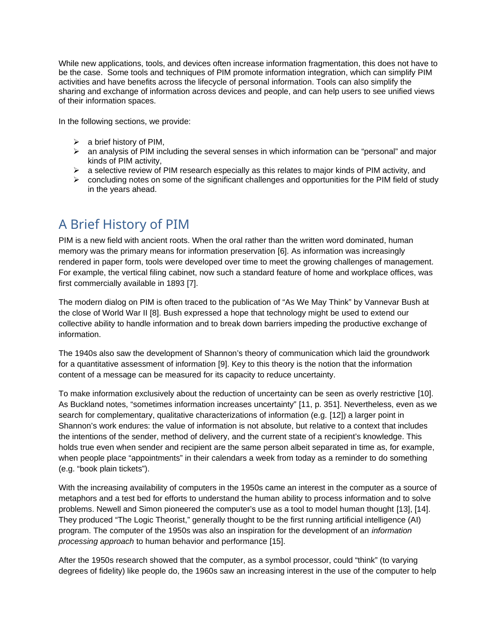While new applications, tools, and devices often increase information fragmentation, this does not have to be the case. Some tools and techniques of PIM promote information integration, which can simplify PIM activities and have benefits across the lifecycle of personal information. Tools can also simplify the sharing and exchange of information across devices and people, and can help users to see unified views of their information spaces.

In the following sections, we provide:

- $\triangleright$  a brief history of PIM,
- $\triangleright$  an analysis of PIM including the several senses in which information can be "personal" and major kinds of PIM activity,
- $\triangleright$  a selective review of PIM research especially as this relates to major kinds of PIM activity, and
- $\triangleright$  concluding notes on some of the significant challenges and opportunities for the PIM field of study in the years ahead.

# A Brief History of PIM

PIM is a new field with ancient roots. When the oral rather than the written word dominated, human memory was the primary means for information preservation [6]. As information was increasingly rendered in paper form, tools were developed over time to meet the growing challenges of management. For example, the vertical filing cabinet, now such a standard feature of home and workplace offices, was first commercially available in 1893 [7].

The modern dialog on PIM is often traced to the publication of "As We May Think" by Vannevar Bush at the close of World War II [8]. Bush expressed a hope that technology might be used to extend our collective ability to handle information and to break down barriers impeding the productive exchange of information.

The 1940s also saw the development of Shannon's theory of communication which laid the groundwork for a quantitative assessment of information [9]. Key to this theory is the notion that the information content of a message can be measured for its capacity to reduce uncertainty.

To make information exclusively about the reduction of uncertainty can be seen as overly restrictive [10]. As Buckland notes, "sometimes information increases uncertainty" [11, p. 351]. Nevertheless, even as we search for complementary, qualitative characterizations of information (e.g. [12]) a larger point in Shannon's work endures: the value of information is not absolute, but relative to a context that includes the intentions of the sender, method of delivery, and the current state of a recipient's knowledge. This holds true even when sender and recipient are the same person albeit separated in time as, for example, when people place "appointments" in their calendars a week from today as a reminder to do something (e.g. "book plain tickets").

With the increasing availability of computers in the 1950s came an interest in the computer as a source of metaphors and a test bed for efforts to understand the human ability to process information and to solve problems. Newell and Simon pioneered the computer's use as a tool to model human thought [13], [14]. They produced "The Logic Theorist," generally thought to be the first running artificial intelligence (AI) program. The computer of the 1950s was also an inspiration for the development of an *information processing approach* to human behavior and performance [15].

After the 1950s research showed that the computer, as a symbol processor, could "think" (to varying degrees of fidelity) like people do, the 1960s saw an increasing interest in the use of the computer to help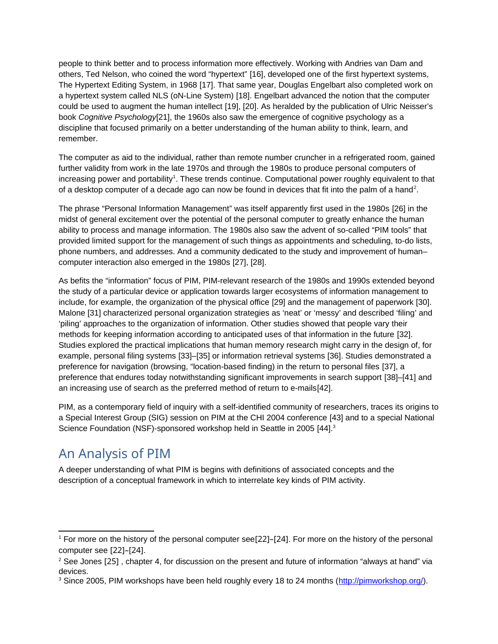people to think better and to process information more effectively. Working with Andries van Dam and others, Ted Nelson, who coined the word "hypertext" [16], developed one of the first hypertext systems, The Hypertext Editing System, in 1968 [17]. That same year, Douglas Engelbart also completed work on a hypertext system called NLS (oN-Line System) [18]. Engelbart advanced the notion that the computer could be used to augment the human intellect [19], [20]. As heralded by the publication of Ulric Neisser's book *Cognitive Psychology*[21], the 1960s also saw the emergence of cognitive psychology as a discipline that focused primarily on a better understanding of the human ability to think, learn, and remember.

The computer as aid to the individual, rather than remote number cruncher in a refrigerated room, gained further validity from work in the late 1970s and through the 1980s to produce personal computers of increasing power and portability<sup>[1](#page-4-0)</sup>. These trends continue. Computational power roughly equivalent to that of a desktop computer of a decade ago can now be found in devices that fit into the palm of a hand<sup>[2](#page-4-1)</sup>.

The phrase "Personal Information Management" was itself apparently first used in the 1980s [26] in the midst of general excitement over the potential of the personal computer to greatly enhance the human ability to process and manage information. The 1980s also saw the advent of so-called "PIM tools" that provided limited support for the management of such things as appointments and scheduling, to-do lists, phone numbers, and addresses. And a community dedicated to the study and improvement of human– computer interaction also emerged in the 1980s [27], [28].

As befits the "information" focus of PIM, PIM-relevant research of the 1980s and 1990s extended beyond the study of a particular device or application towards larger ecosystems of information management to include, for example, the organization of the physical office [29] and the management of paperwork [30]. Malone [31] characterized personal organization strategies as 'neat' or 'messy' and described 'filing' and 'piling' approaches to the organization of information. Other studies showed that people vary their methods for keeping information according to anticipated uses of that information in the future [32]. Studies explored the practical implications that human memory research might carry in the design of, for example, personal filing systems [33]–[35] or information retrieval systems [36]. Studies demonstrated a preference for navigation (browsing, "location-based finding) in the return to personal files [37], a preference that endures today notwithstanding significant improvements in search support [38]–[41] and an increasing use of search as the preferred method of return to e-mails[42].

PIM, as a contemporary field of inquiry with a self-identified community of researchers, traces its origins to a Special Interest Group (SIG) session on PIM at the CHI 2004 conference [43] and to a special National Science Foundation (NSF)-sponsored workshop held in Seattle in 2005 [44].<sup>[3](#page-4-2)</sup>

# An Analysis of PIM

A deeper understanding of what PIM is begins with definitions of associated concepts and the description of a conceptual framework in which to interrelate key kinds of PIM activity.

<span id="page-4-0"></span> $1$  For more on the history of the personal computer see[22]-[24]. For more on the history of the personal computer see [22]–[24].

<span id="page-4-1"></span> $^2$  See Jones [25] , chapter 4, for discussion on the present and future of information "always at hand" via devices.

<span id="page-4-2"></span><sup>&</sup>lt;sup>3</sup> Since 2005, PIM workshops have been held roughly every 18 to 24 months [\(http://pimworkshop.org/](http://pimworkshop.org/)).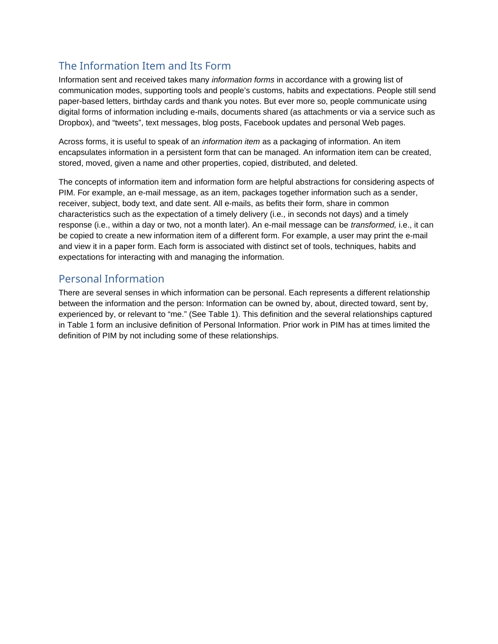### The Information Item and Its Form

Information sent and received takes many *information forms* in accordance with a growing list of communication modes, supporting tools and people's customs, habits and expectations. People still send paper-based letters, birthday cards and thank you notes. But ever more so, people communicate using digital forms of information including e-mails, documents shared (as attachments or via a service such as Dropbox), and "tweets", text messages, blog posts, Facebook updates and personal Web pages.

Across forms, it is useful to speak of an *information item* as a packaging of information. An item encapsulates information in a persistent form that can be managed. An information item can be created, stored, moved, given a name and other properties, copied, distributed, and deleted.

The concepts of information item and information form are helpful abstractions for considering aspects of PIM. For example, an e-mail message, as an item, packages together information such as a sender, receiver, subject, body text, and date sent. All e-mails, as befits their form, share in common characteristics such as the expectation of a timely delivery (i.e., in seconds not days) and a timely response (i.e., within a day or two, not a month later). An e-mail message can be *transformed,* i.e., it can be copied to create a new information item of a different form. For example, a user may print the e-mail and view it in a paper form. Each form is associated with distinct set of tools, techniques, habits and expectations for interacting with and managing the information.

#### Personal Information

There are several senses in which information can be personal. Each represents a different relationship between the information and the person: Information can be owned by, about, directed toward, sent by, experienced by, or relevant to "me." (See Table 1). This definition and the several relationships captured in Table 1 form an inclusive definition of Personal Information. Prior work in PIM has at times limited the definition of PIM by not including some of these relationships.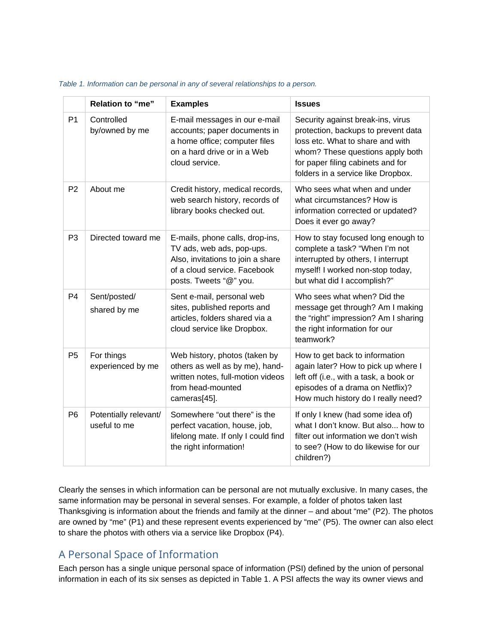|                | Relation to "me"                      | <b>Examples</b>                                                                                                                                             | <b>Issues</b>                                                                                                                                                                                                               |
|----------------|---------------------------------------|-------------------------------------------------------------------------------------------------------------------------------------------------------------|-----------------------------------------------------------------------------------------------------------------------------------------------------------------------------------------------------------------------------|
| P1             | Controlled<br>by/owned by me          | E-mail messages in our e-mail<br>accounts; paper documents in<br>a home office; computer files<br>on a hard drive or in a Web<br>cloud service.             | Security against break-ins, virus<br>protection, backups to prevent data<br>loss etc. What to share and with<br>whom? These questions apply both<br>for paper filing cabinets and for<br>folders in a service like Dropbox. |
| P <sub>2</sub> | About me                              | Credit history, medical records,<br>web search history, records of<br>library books checked out.                                                            | Who sees what when and under<br>what circumstances? How is<br>information corrected or updated?<br>Does it ever go away?                                                                                                    |
| P <sub>3</sub> | Directed toward me                    | E-mails, phone calls, drop-ins,<br>TV ads, web ads, pop-ups.<br>Also, invitations to join a share<br>of a cloud service. Facebook<br>posts. Tweets "@" you. | How to stay focused long enough to<br>complete a task? "When I'm not<br>interrupted by others, I interrupt<br>myself! I worked non-stop today,<br>but what did I accomplish?"                                               |
| P <sub>4</sub> | Sent/posted/<br>shared by me          | Sent e-mail, personal web<br>sites, published reports and<br>articles, folders shared via a<br>cloud service like Dropbox.                                  | Who sees what when? Did the<br>message get through? Am I making<br>the "right" impression? Am I sharing<br>the right information for our<br>teamwork?                                                                       |
| P <sub>5</sub> | For things<br>experienced by me       | Web history, photos (taken by<br>others as well as by me), hand-<br>written notes, full-motion videos<br>from head-mounted<br>cameras[45].                  | How to get back to information<br>again later? How to pick up where I<br>left off (i.e., with a task, a book or<br>episodes of a drama on Netflix)?<br>How much history do I really need?                                   |
| P <sub>6</sub> | Potentially relevant/<br>useful to me | Somewhere "out there" is the<br>perfect vacation, house, job,<br>lifelong mate. If only I could find<br>the right information!                              | If only I knew (had some idea of)<br>what I don't know. But also how to<br>filter out information we don't wish<br>to see? (How to do likewise for our<br>children?)                                                        |

#### *Table 1. Information can be personal in any of several relationships to a person.*

Clearly the senses in which information can be personal are not mutually exclusive. In many cases, the same information may be personal in several senses. For example, a folder of photos taken last Thanksgiving is information about the friends and family at the dinner – and about "me" (P2). The photos are owned by "me" (P1) and these represent events experienced by "me" (P5). The owner can also elect to share the photos with others via a service like Dropbox (P4).

#### A Personal Space of Information

Each person has a single unique personal space of information (PSI) defined by the union of personal information in each of its six senses as depicted in Table 1. A PSI affects the way its owner views and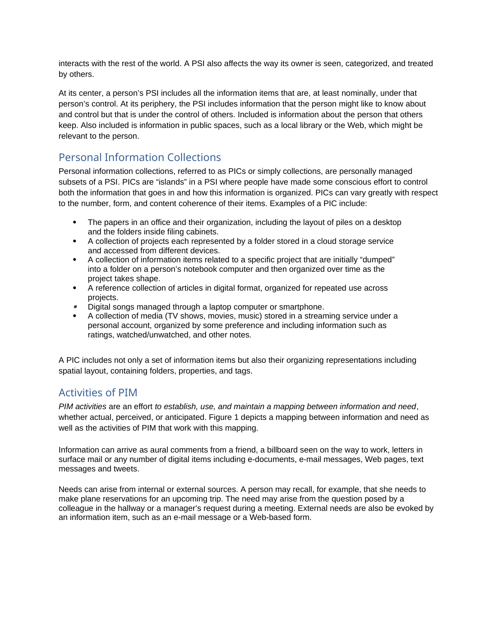interacts with the rest of the world. A PSI also affects the way its owner is seen, categorized, and treated by others.

At its center, a person's PSI includes all the information items that are, at least nominally, under that person's control. At its periphery, the PSI includes information that the person might like to know about and control but that is under the control of others. Included is information about the person that others keep. Also included is information in public spaces, such as a local library or the Web, which might be relevant to the person.

#### Personal Information Collections

Personal information collections, referred to as PICs or simply collections, are personally managed subsets of a PSI. PICs are "islands" in a PSI where people have made some conscious effort to control both the information that goes in and how this information is organized. PICs can vary greatly with respect to the number, form, and content coherence of their items. Examples of a PIC include:

- The papers in an office and their organization, including the layout of piles on a desktop and the folders inside filing cabinets.
- A collection of projects each represented by a folder stored in a cloud storage service and accessed from different devices.
- A collection of information items related to a specific project that are initially "dumped" into a folder on a person's notebook computer and then organized over time as the project takes shape.
- A reference collection of articles in digital format, organized for repeated use across projects.
- Digital songs managed through a laptop computer or smartphone.
- A collection of media (TV shows, movies, music) stored in a streaming service under a personal account, organized by some preference and including information such as ratings, watched/unwatched, and other notes.

A PIC includes not only a set of information items but also their organizing representations including spatial layout, containing folders, properties, and tags.

#### Activities of PIM

*PIM activities* are an effort *to establish, use, and maintain a mapping between information and need*, whether actual, perceived, or anticipated. Figure 1 depicts a mapping between information and need as well as the activities of PIM that work with this mapping.

Information can arrive as aural comments from a friend, a billboard seen on the way to work, letters in surface mail or any number of digital items including e-documents, e-mail messages, Web pages, text messages and tweets.

Needs can arise from internal or external sources. A person may recall, for example, that she needs to make plane reservations for an upcoming trip. The need may arise from the question posed by a colleague in the hallway or a manager's request during a meeting. External needs are also be evoked by an information item, such as an e-mail message or a Web-based form.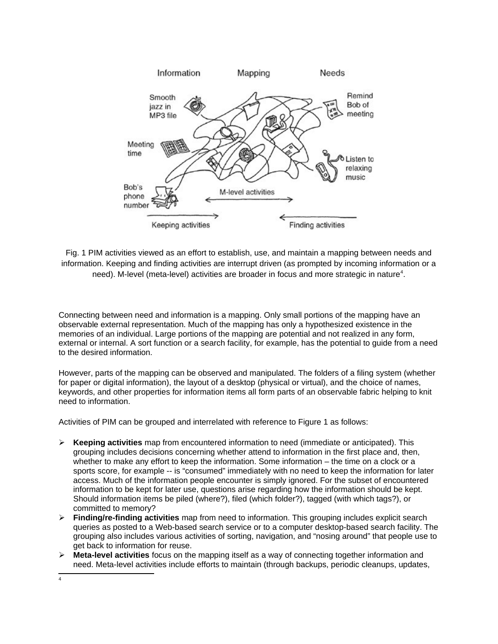

Fig. 1 PIM activities viewed as an effort to establish, use, and maintain a mapping between needs and information. Keeping and finding activities are interrupt driven (as prompted by incoming information or a need). M-level (meta-level) activities are broader in focus and more strategic in nature[4](#page-8-0) .

Connecting between need and information is a mapping. Only small portions of the mapping have an observable external representation. Much of the mapping has only a hypothesized existence in the memories of an individual. Large portions of the mapping are potential and not realized in any form, external or internal. A sort function or a search facility, for example, has the potential to guide from a need to the desired information.

However, parts of the mapping can be observed and manipulated. The folders of a filing system (whether for paper or digital information), the layout of a desktop (physical or virtual), and the choice of names, keywords, and other properties for information items all form parts of an observable fabric helping to knit need to information.

Activities of PIM can be grouped and interrelated with reference to Figure 1 as follows:

- **Keeping activities** map from encountered information to need (immediate or anticipated). This grouping includes decisions concerning whether attend to information in the first place and, then, whether to make any effort to keep the information. Some information – the time on a clock or a sports score, for example -- is "consumed" immediately with no need to keep the information for later access. Much of the information people encounter is simply ignored. For the subset of encountered information to be kept for later use, questions arise regarding how the information should be kept. Should information items be piled (where?), filed (which folder?), tagged (with which tags?), or committed to memory?
- **Finding/re-finding activities** map from need to information. This grouping includes explicit search queries as posted to a Web-based search service or to a computer desktop-based search facility. The grouping also includes various activities of sorting, navigation, and "nosing around" that people use to get back to information for reuse.
- **Meta-level activities** focus on the mapping itself as a way of connecting together information and need. Meta-level activities include efforts to maintain (through backups, periodic cleanups, updates,

<span id="page-8-0"></span><sup>4</sup>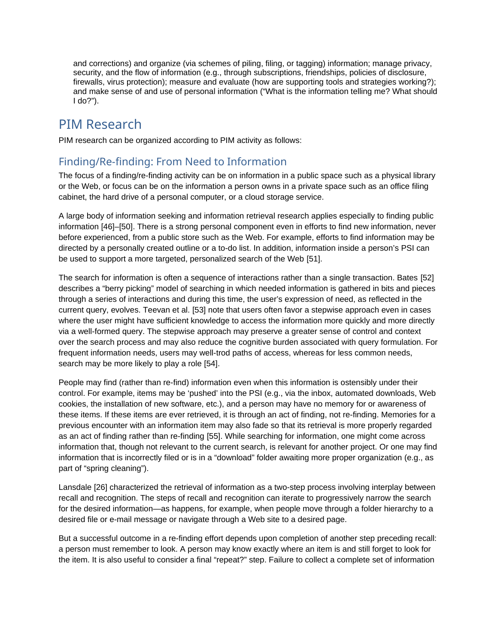and corrections) and organize (via schemes of piling, filing, or tagging) information; manage privacy, security, and the flow of information (e.g., through subscriptions, friendships, policies of disclosure, firewalls, virus protection); measure and evaluate (how are supporting tools and strategies working?); and make sense of and use of personal information ("What is the information telling me? What should I do?").

### PIM Research

PIM research can be organized according to PIM activity as follows:

### Finding/Re-finding: From Need to Information

The focus of a finding/re-finding activity can be on information in a public space such as a physical library or the Web, or focus can be on the information a person owns in a private space such as an office filing cabinet, the hard drive of a personal computer, or a cloud storage service.

A large body of information seeking and information retrieval research applies especially to finding public information [46]–[50]. There is a strong personal component even in efforts to find new information, never before experienced, from a public store such as the Web. For example, efforts to find information may be directed by a personally created outline or a to-do list. In addition, information inside a person's PSI can be used to support a more targeted, personalized search of the Web [51].

The search for information is often a sequence of interactions rather than a single transaction. Bates [52] describes a "berry picking" model of searching in which needed information is gathered in bits and pieces through a series of interactions and during this time, the user's expression of need, as reflected in the current query, evolves. Teevan et al. [53] note that users often favor a stepwise approach even in cases where the user might have sufficient knowledge to access the information more quickly and more directly via a well-formed query. The stepwise approach may preserve a greater sense of control and context over the search process and may also reduce the cognitive burden associated with query formulation. For frequent information needs, users may well-trod paths of access, whereas for less common needs, search may be more likely to play a role [54].

People may find (rather than re-find) information even when this information is ostensibly under their control. For example, items may be 'pushed' into the PSI (e.g., via the inbox, automated downloads, Web cookies, the installation of new software, etc.), and a person may have no memory for or awareness of these items. If these items are ever retrieved, it is through an act of finding, not re-finding. Memories for a previous encounter with an information item may also fade so that its retrieval is more properly regarded as an act of finding rather than re-finding [55]. While searching for information, one might come across information that, though not relevant to the current search, is relevant for another project. Or one may find information that is incorrectly filed or is in a "download" folder awaiting more proper organization (e.g., as part of "spring cleaning").

Lansdale [26] characterized the retrieval of information as a two-step process involving interplay between recall and recognition. The steps of recall and recognition can iterate to progressively narrow the search for the desired information—as happens, for example, when people move through a folder hierarchy to a desired file or e-mail message or navigate through a Web site to a desired page.

But a successful outcome in a re-finding effort depends upon completion of another step preceding recall: a person must remember to look. A person may know exactly where an item is and still forget to look for the item. It is also useful to consider a final "repeat?" step. Failure to collect a complete set of information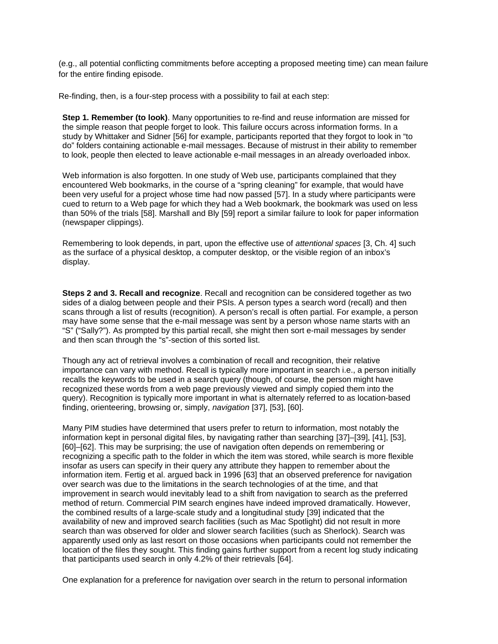(e.g., all potential conflicting commitments before accepting a proposed meeting time) can mean failure for the entire finding episode.

Re-finding, then, is a four-step process with a possibility to fail at each step:

**Step 1. Remember (to look)**. Many opportunities to re-find and reuse information are missed for the simple reason that people forget to look. This failure occurs across information forms. In a study by Whittaker and Sidner [56] for example, participants reported that they forgot to look in "to do" folders containing actionable e-mail messages. Because of mistrust in their ability to remember to look, people then elected to leave actionable e-mail messages in an already overloaded inbox.

Web information is also forgotten. In one study of Web use, participants complained that they encountered Web bookmarks, in the course of a "spring cleaning" for example, that would have been very useful for a project whose time had now passed [57]. In a study where participants were cued to return to a Web page for which they had a Web bookmark, the bookmark was used on less than 50% of the trials [58]. Marshall and Bly [59] report a similar failure to look for paper information (newspaper clippings).

Remembering to look depends, in part, upon the effective use of *attentional spaces* [3, Ch. 4] such as the surface of a physical desktop, a computer desktop, or the visible region of an inbox's display.

**Steps 2 and 3. Recall and recognize**. Recall and recognition can be considered together as two sides of a dialog between people and their PSIs. A person types a search word (recall) and then scans through a list of results (recognition). A person's recall is often partial. For example, a person may have some sense that the e-mail message was sent by a person whose name starts with an "S" ("Sally?"). As prompted by this partial recall, she might then sort e-mail messages by sender and then scan through the "s"-section of this sorted list.

Though any act of retrieval involves a combination of recall and recognition, their relative importance can vary with method. Recall is typically more important in search i.e., a person initially recalls the keywords to be used in a search query (though, of course, the person might have recognized these words from a web page previously viewed and simply copied them into the query). Recognition is typically more important in what is alternately referred to as location-based finding, orienteering, browsing or, simply, *navigation* [37], [53], [60].

Many PIM studies have determined that users prefer to return to information, most notably the information kept in personal digital files, by navigating rather than searching [37]–[39], [41], [53], [60]–[62]. This may be surprising; the use of navigation often depends on remembering or recognizing a specific path to the folder in which the item was stored, while search is more flexible insofar as users can specify in their query any attribute they happen to remember about the information item. Fertig et al. argued back in 1996 [63] that an observed preference for navigation over search was due to the limitations in the search technologies of at the time, and that improvement in search would inevitably lead to a shift from navigation to search as the preferred method of return. Commercial PIM search engines have indeed improved dramatically. However, the combined results of a large-scale study and a longitudinal study [39] indicated that the availability of new and improved search facilities (such as Mac Spotlight) did not result in more search than was observed for older and slower search facilities (such as Sherlock). Search was apparently used only as last resort on those occasions when participants could not remember the location of the files they sought. This finding gains further support from a recent log study indicating that participants used search in only 4.2% of their retrievals [64].

One explanation for a preference for navigation over search in the return to personal information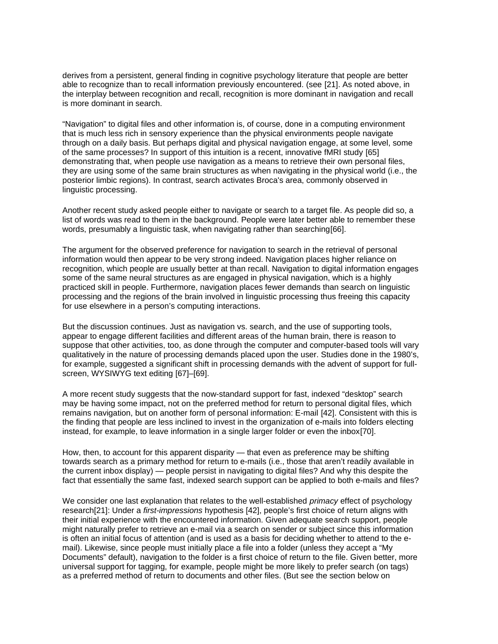derives from a persistent, general finding in cognitive psychology literature that people are better able to recognize than to recall information previously encountered. (see [21]. As noted above, in the interplay between recognition and recall, recognition is more dominant in navigation and recall is more dominant in search.

"Navigation" to digital files and other information is, of course, done in a computing environment that is much less rich in sensory experience than the physical environments people navigate through on a daily basis. But perhaps digital and physical navigation engage, at some level, some of the same processes? In support of this intuition is a recent, innovative fMRI study [65] demonstrating that, when people use navigation as a means to retrieve their own personal files, they are using some of the same brain structures as when navigating in the physical world (i.e., the posterior limbic regions). In contrast, search activates Broca's area, commonly observed in linguistic processing.

Another recent study asked people either to navigate or search to a target file. As people did so, a list of words was read to them in the background. People were later better able to remember these words, presumably a linguistic task, when navigating rather than searching[66].

The argument for the observed preference for navigation to search in the retrieval of personal information would then appear to be very strong indeed. Navigation places higher reliance on recognition, which people are usually better at than recall. Navigation to digital information engages some of the same neural structures as are engaged in physical navigation, which is a highly practiced skill in people. Furthermore, navigation places fewer demands than search on linguistic processing and the regions of the brain involved in linguistic processing thus freeing this capacity for use elsewhere in a person's computing interactions.

But the discussion continues. Just as navigation vs. search, and the use of supporting tools, appear to engage different facilities and different areas of the human brain, there is reason to suppose that other activities, too, as done through the computer and computer-based tools will vary qualitatively in the nature of processing demands placed upon the user. Studies done in the 1980's, for example, suggested a significant shift in processing demands with the advent of support for fullscreen, WYSIWYG text editing [67]–[69].

A more recent study suggests that the now-standard support for fast, indexed "desktop" search may be having some impact, not on the preferred method for return to personal digital files, which remains navigation, but on another form of personal information: E-mail [42]. Consistent with this is the finding that people are less inclined to invest in the organization of e-mails into folders electing instead, for example, to leave information in a single larger folder or even the inbox[70].

How, then, to account for this apparent disparity — that even as preference may be shifting towards search as a primary method for return to e-mails (i.e., those that aren't readily available in the current inbox display) — people persist in navigating to digital files? And why this despite the fact that essentially the same fast, indexed search support can be applied to both e-mails and files?

We consider one last explanation that relates to the well-established *primacy* effect of psychology research[21]: Under a *first-impressions* hypothesis [42], people's first choice of return aligns with their initial experience with the encountered information. Given adequate search support, people might naturally prefer to retrieve an e-mail via a search on sender or subject since this information is often an initial focus of attention (and is used as a basis for deciding whether to attend to the email). Likewise, since people must initially place a file into a folder (unless they accept a "My Documents" default), navigation to the folder is a first choice of return to the file. Given better, more universal support for tagging, for example, people might be more likely to prefer search (on tags) as a preferred method of return to documents and other files. (But see the section below on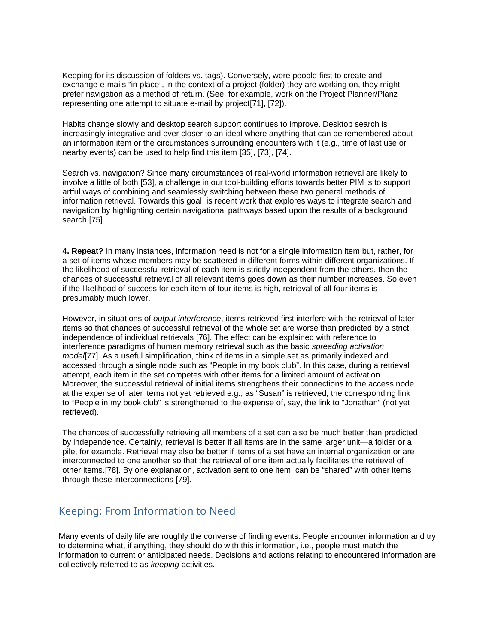Keeping for its discussion of folders vs. tags). Conversely, were people first to create and exchange e-mails "in place", in the context of a project (folder) they are working on, they might prefer navigation as a method of return. (See, for example, work on the Project Planner/Planz representing one attempt to situate e-mail by project[71], [72]).

Habits change slowly and desktop search support continues to improve. Desktop search is increasingly integrative and ever closer to an ideal where anything that can be remembered about an information item or the circumstances surrounding encounters with it (e.g., time of last use or nearby events) can be used to help find this item [35], [73], [74].

Search vs. navigation? Since many circumstances of real-world information retrieval are likely to involve a little of both [53], a challenge in our tool-building efforts towards better PIM is to support artful ways of combining and seamlessly switching between these two general methods of information retrieval. Towards this goal, is recent work that explores ways to integrate search and navigation by highlighting certain navigational pathways based upon the results of a background search [75].

**4. Repeat?** In many instances, information need is not for a single information item but, rather, for a set of items whose members may be scattered in different forms within different organizations. If the likelihood of successful retrieval of each item is strictly independent from the others, then the chances of successful retrieval of all relevant items goes down as their number increases. So even if the likelihood of success for each item of four items is high, retrieval of all four items is presumably much lower.

However, in situations of *output interference*, items retrieved first interfere with the retrieval of later items so that chances of successful retrieval of the whole set are worse than predicted by a strict independence of individual retrievals [76]. The effect can be explained with reference to interference paradigms of human memory retrieval such as the basic *spreading activation model*[77]. As a useful simplification, think of items in a simple set as primarily indexed and accessed through a single node such as "People in my book club". In this case, during a retrieval attempt, each item in the set competes with other items for a limited amount of activation. Moreover, the successful retrieval of initial items strengthens their connections to the access node at the expense of later items not yet retrieved e.g., as "Susan" is retrieved, the corresponding link to "People in my book club" is strengthened to the expense of, say, the link to "Jonathan" (not yet retrieved).

The chances of successfully retrieving all members of a set can also be much better than predicted by independence. Certainly, retrieval is better if all items are in the same larger unit—a folder or a pile, for example. Retrieval may also be better if items of a set have an internal organization or are interconnected to one another so that the retrieval of one item actually facilitates the retrieval of other items.[78]. By one explanation, activation sent to one item, can be "shared" with other items through these interconnections [79].

#### Keeping: From Information to Need

Many events of daily life are roughly the converse of finding events: People encounter information and try to determine what, if anything, they should do with this information, i.e., people must match the information to current or anticipated needs. Decisions and actions relating to encountered information are collectively referred to as *keeping* activities.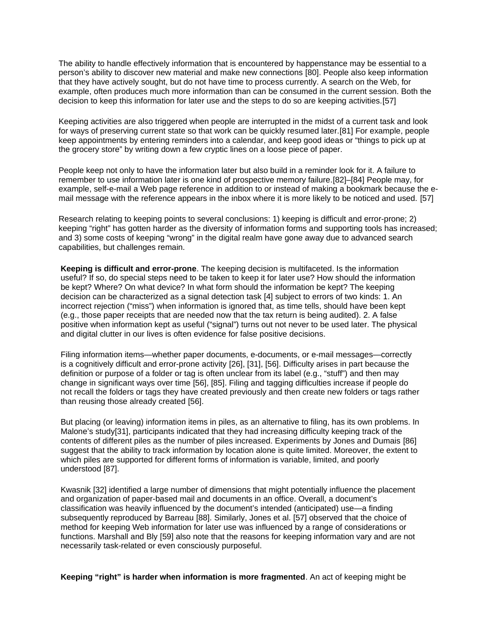The ability to handle effectively information that is encountered by happenstance may be essential to a person's ability to discover new material and make new connections [80]. People also keep information that they have actively sought, but do not have time to process currently. A search on the Web, for example, often produces much more information than can be consumed in the current session. Both the decision to keep this information for later use and the steps to do so are keeping activities.[57]

Keeping activities are also triggered when people are interrupted in the midst of a current task and look for ways of preserving current state so that work can be quickly resumed later.[81] For example, people keep appointments by entering reminders into a calendar, and keep good ideas or "things to pick up at the grocery store" by writing down a few cryptic lines on a loose piece of paper.

People keep not only to have the information later but also build in a reminder look for it. A failure to remember to use information later is one kind of prospective memory failure.[82]–[84] People may, for example, self-e-mail a Web page reference in addition to or instead of making a bookmark because the email message with the reference appears in the inbox where it is more likely to be noticed and used. [57]

Research relating to keeping points to several conclusions: 1) keeping is difficult and error-prone; 2) keeping "right" has gotten harder as the diversity of information forms and supporting tools has increased; and 3) some costs of keeping "wrong" in the digital realm have gone away due to advanced search capabilities, but challenges remain.

**Keeping is difficult and error-prone**. The keeping decision is multifaceted. Is the information useful? If so, do special steps need to be taken to keep it for later use? How should the information be kept? Where? On what device? In what form should the information be kept? The keeping decision can be characterized as a signal detection task [4] subject to errors of two kinds: 1. An incorrect rejection ("miss") when information is ignored that, as time tells, should have been kept (e.g., those paper receipts that are needed now that the tax return is being audited). 2. A false positive when information kept as useful ("signal") turns out not never to be used later. The physical and digital clutter in our lives is often evidence for false positive decisions.

Filing information items—whether paper documents, e-documents, or e-mail messages—correctly is a cognitively difficult and error-prone activity [26], [31], [56]. Difficulty arises in part because the definition or purpose of a folder or tag is often unclear from its label (e.g., "stuff") and then may change in significant ways over time [56], [85]. Filing and tagging difficulties increase if people do not recall the folders or tags they have created previously and then create new folders or tags rather than reusing those already created [56].

But placing (or leaving) information items in piles, as an alternative to filing, has its own problems. In Malone's study[31], participants indicated that they had increasing difficulty keeping track of the contents of different piles as the number of piles increased. Experiments by Jones and Dumais [86] suggest that the ability to track information by location alone is quite limited. Moreover, the extent to which piles are supported for different forms of information is variable, limited, and poorly understood [87].

Kwasnik [32] identified a large number of dimensions that might potentially influence the placement and organization of paper-based mail and documents in an office. Overall, a document's classification was heavily influenced by the document's intended (anticipated) use—a finding subsequently reproduced by Barreau [88]. Similarly, Jones et al. [57] observed that the choice of method for keeping Web information for later use was influenced by a range of considerations or functions. Marshall and Bly [59] also note that the reasons for keeping information vary and are not necessarily task-related or even consciously purposeful.

**Keeping "right" is harder when information is more fragmented**. An act of keeping might be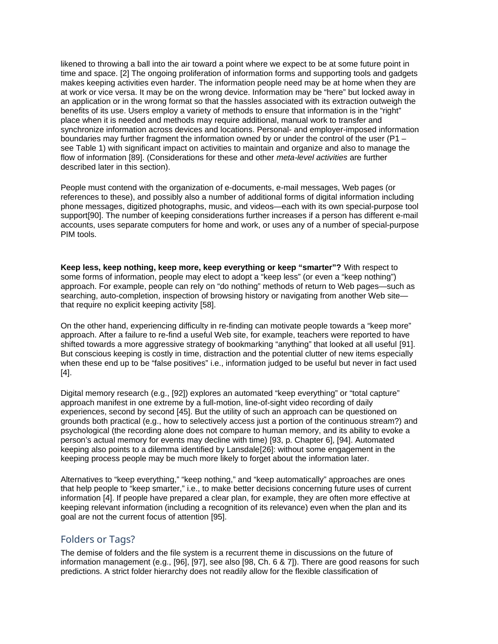likened to throwing a ball into the air toward a point where we expect to be at some future point in time and space. [2] The ongoing proliferation of information forms and supporting tools and gadgets makes keeping activities even harder. The information people need may be at home when they are at work or vice versa. It may be on the wrong device. Information may be "here" but locked away in an application or in the wrong format so that the hassles associated with its extraction outweigh the benefits of its use. Users employ a variety of methods to ensure that information is in the "right" place when it is needed and methods may require additional, manual work to transfer and synchronize information across devices and locations. Personal- and employer-imposed information boundaries may further fragment the information owned by or under the control of the user (P1 – see Table 1) with significant impact on activities to maintain and organize and also to manage the flow of information [89]. (Considerations for these and other *meta-level activities* are further described later in this section).

People must contend with the organization of e-documents, e-mail messages, Web pages (or references to these), and possibly also a number of additional forms of digital information including phone messages, digitized photographs, music, and videos—each with its own special-purpose tool support[90]. The number of keeping considerations further increases if a person has different e-mail accounts, uses separate computers for home and work, or uses any of a number of special-purpose PIM tools.

**Keep less, keep nothing, keep more, keep everything or keep "smarter"?** With respect to some forms of information, people may elect to adopt a "keep less" (or even a "keep nothing") approach. For example, people can rely on "do nothing" methods of return to Web pages—such as searching, auto-completion, inspection of browsing history or navigating from another Web site that require no explicit keeping activity [58].

On the other hand, experiencing difficulty in re-finding can motivate people towards a "keep more" approach. After a failure to re-find a useful Web site, for example, teachers were reported to have shifted towards a more aggressive strategy of bookmarking "anything" that looked at all useful [91]. But conscious keeping is costly in time, distraction and the potential clutter of new items especially when these end up to be "false positives" i.e., information judged to be useful but never in fact used [4].

Digital memory research (e.g., [92]) explores an automated "keep everything" or "total capture" approach manifest in one extreme by a full-motion, line-of-sight video recording of daily experiences, second by second [45]. But the utility of such an approach can be questioned on grounds both practical (e.g., how to selectively access just a portion of the continuous stream?) and psychological (the recording alone does not compare to human memory, and its ability to evoke a person's actual memory for events may decline with time) [93, p. Chapter 6], [94]. Automated keeping also points to a dilemma identified by Lansdale[26]: without some engagement in the keeping process people may be much more likely to forget about the information later.

Alternatives to "keep everything," "keep nothing," and "keep automatically" approaches are ones that help people to "keep smarter," i.e., to make better decisions concerning future uses of current information [4]. If people have prepared a clear plan, for example, they are often more effective at keeping relevant information (including a recognition of its relevance) even when the plan and its goal are not the current focus of attention [95].

#### Folders or Tags?

The demise of folders and the file system is a recurrent theme in discussions on the future of information management (e.g., [96], [97], see also [98, Ch. 6 & 7]). There are good reasons for such predictions. A strict folder hierarchy does not readily allow for the flexible classification of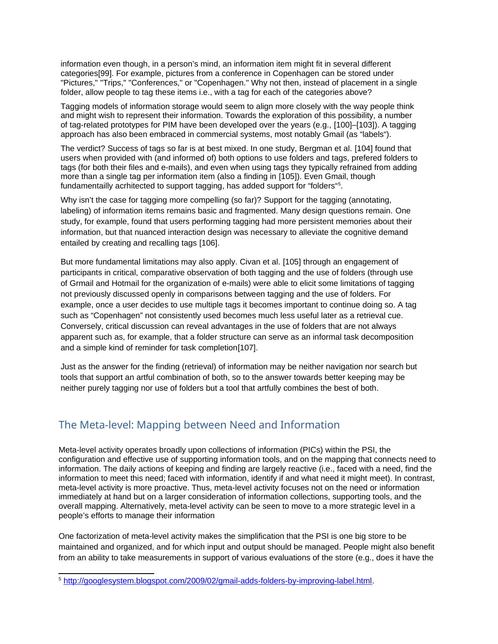information even though, in a person's mind, an information item might fit in several different categories[99]. For example, pictures from a conference in Copenhagen can be stored under "Pictures," "Trips," "Conferences," or "Copenhagen." Why not then, instead of placement in a single folder, allow people to tag these items i.e., with a tag for each of the categories above?

Tagging models of information storage would seem to align more closely with the way people think and might wish to represent their information. Towards the exploration of this possibility, a number of tag-related prototypes for PIM have been developed over the years (e.g., [100]–[103]). A tagging approach has also been embraced in commercial systems, most notably Gmail (as "labels").

The verdict? Success of tags so far is at best mixed. In one study, Bergman et al. [104] found that users when provided with (and informed of) both options to use folders and tags, prefered folders to tags (for both their files and e-mails), and even when using tags they typically refrained from adding more than a single tag per information item (also a finding in [105]). Even Gmail, though fundamentailly acrhitected to support tagging, has added support for "folders"<sup>[5](#page-15-0)</sup>.

Why isn't the case for tagging more compelling (so far)? Support for the tagging (annotating, labeling) of information items remains basic and fragmented. Many design questions remain. One study, for example, found that users performing tagging had more persistent memories about their information, but that nuanced interaction design was necessary to alleviate the cognitive demand entailed by creating and recalling tags [106].

But more fundamental limitations may also apply. Civan et al. [105] through an engagement of participants in critical, comparative observation of both tagging and the use of folders (through use of Grmail and Hotmail for the organization of e-mails) were able to elicit some limitations of tagging not previously discussed openly in comparisons between tagging and the use of folders. For example, once a user decides to use multiple tags it becomes important to continue doing so. A tag such as "Copenhagen" not consistently used becomes much less useful later as a retrieval cue. Conversely, critical discussion can reveal advantages in the use of folders that are not always apparent such as, for example, that a folder structure can serve as an informal task decomposition and a simple kind of reminder for task completion[107].

Just as the answer for the finding (retrieval) of information may be neither navigation nor search but tools that support an artful combination of both, so to the answer towards better keeping may be neither purely tagging nor use of folders but a tool that artfully combines the best of both.

#### The Meta-level: Mapping between Need and Information

Meta-level activity operates broadly upon collections of information (PICs) within the PSI, the configuration and effective use of supporting information tools, and on the mapping that connects need to information. The daily actions of keeping and finding are largely reactive (i.e., faced with a need, find the information to meet this need; faced with information, identify if and what need it might meet). In contrast, meta-level activity is more proactive. Thus, meta-level activity focuses not on the need or information immediately at hand but on a larger consideration of information collections, supporting tools, and the overall mapping. Alternatively, meta-level activity can be seen to move to a more strategic level in a people's efforts to manage their information

One factorization of meta-level activity makes the simplification that the PSI is one big store to be maintained and organized, and for which input and output should be managed. People might also benefit from an ability to take measurements in support of various evaluations of the store (e.g., does it have the

<span id="page-15-0"></span><sup>5</sup> [http://googlesystem.blogspot.com/2009/02/gmail-adds-folders-by-improving-label.html.](http://googlesystem.blogspot.com/2009/02/gmail-adds-folders-by-improving-label.html)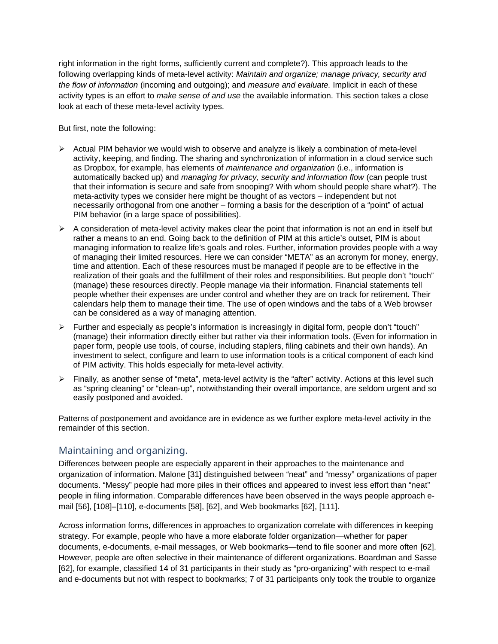right information in the right forms, sufficiently current and complete?). This approach leads to the following overlapping kinds of meta-level activity: *Maintain and organize; manage privacy, security and the flow of information* (incoming and outgoing); and *measure and evaluate.* Implicit in each of these activity types is an effort to *make sense of and use* the available information. This section takes a close look at each of these meta-level activity types.

But first, note the following:

- $\triangleright$  Actual PIM behavior we would wish to observe and analyze is likely a combination of meta-level activity, keeping, and finding. The sharing and synchronization of information in a cloud service such as Dropbox, for example, has elements of *maintenance and organization* (i.e., information is automatically backed up) and *managing for privacy, security and information flow* (can people trust that their information is secure and safe from snooping? With whom should people share what?). The meta-activity types we consider here might be thought of as vectors – independent but not necessarily orthogonal from one another – forming a basis for the description of a "point" of actual PIM behavior (in a large space of possibilities).
- $\triangleright$  A consideration of meta-level activity makes clear the point that information is not an end in itself but rather a means to an end. Going back to the definition of PIM at this article's outset, PIM is about managing information to realize life's goals and roles. Further, information provides people with a way of managing their limited resources. Here we can consider "META" as an acronym for money, energy, time and attention. Each of these resources must be managed if people are to be effective in the realization of their goals and the fulfillment of their roles and responsibilities. But people don't "touch" (manage) these resources directly. People manage via their information. Financial statements tell people whether their expenses are under control and whether they are on track for retirement. Their calendars help them to manage their time. The use of open windows and the tabs of a Web browser can be considered as a way of managing attention.
- $\triangleright$  Further and especially as people's information is increasingly in digital form, people don't "touch" (manage) their information directly either but rather via their information tools. (Even for information in paper form, people use tools, of course, including staplers, filing cabinets and their own hands). An investment to select, configure and learn to use information tools is a critical component of each kind of PIM activity. This holds especially for meta-level activity.
- $\triangleright$  Finally, as another sense of "meta", meta-level activity is the "after" activity. Actions at this level such as "spring cleaning" or "clean-up", notwithstanding their overall importance, are seldom urgent and so easily postponed and avoided.

Patterns of postponement and avoidance are in evidence as we further explore meta-level activity in the remainder of this section.

#### Maintaining and organizing.

Differences between people are especially apparent in their approaches to the maintenance and organization of information. Malone [31] distinguished between "neat" and "messy" organizations of paper documents. "Messy" people had more piles in their offices and appeared to invest less effort than "neat" people in filing information. Comparable differences have been observed in the ways people approach email [56], [108]–[110], e-documents [58], [62], and Web bookmarks [62], [111].

Across information forms, differences in approaches to organization correlate with differences in keeping strategy. For example, people who have a more elaborate folder organization—whether for paper documents, e-documents, e-mail messages, or Web bookmarks—tend to file sooner and more often [62]. However, people are often selective in their maintenance of different organizations. Boardman and Sasse [62], for example, classified 14 of 31 participants in their study as "pro-organizing" with respect to e-mail and e-documents but not with respect to bookmarks; 7 of 31 participants only took the trouble to organize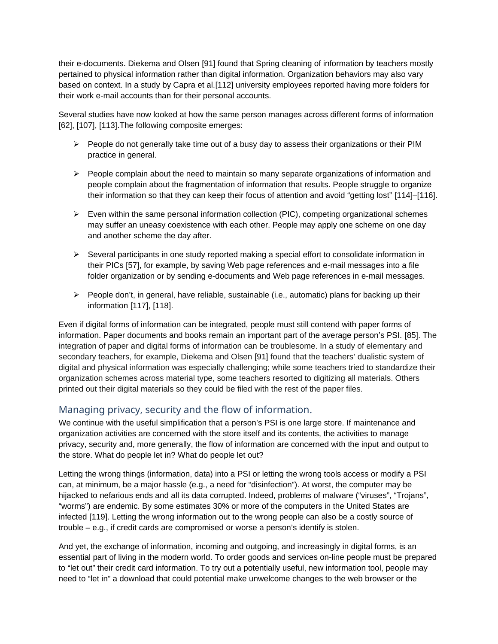their e-documents. Diekema and Olsen [91] found that Spring cleaning of information by teachers mostly pertained to physical information rather than digital information. Organization behaviors may also vary based on context. In a study by Capra et al.[112] university employees reported having more folders for their work e-mail accounts than for their personal accounts.

Several studies have now looked at how the same person manages across different forms of information [62], [107], [113].The following composite emerges:

- $\triangleright$  People do not generally take time out of a busy day to assess their organizations or their PIM practice in general.
- $\triangleright$  People complain about the need to maintain so many separate organizations of information and people complain about the fragmentation of information that results. People struggle to organize their information so that they can keep their focus of attention and avoid "getting lost" [114]–[116].
- $\triangleright$  Even within the same personal information collection (PIC), competing organizational schemes may suffer an uneasy coexistence with each other. People may apply one scheme on one day and another scheme the day after.
- $\triangleright$  Several participants in one study reported making a special effort to consolidate information in their PICs [57], for example, by saving Web page references and e-mail messages into a file folder organization or by sending e-documents and Web page references in e-mail messages.
- $\triangleright$  People don't, in general, have reliable, sustainable (i.e., automatic) plans for backing up their information [117], [118].

Even if digital forms of information can be integrated, people must still contend with paper forms of information. Paper documents and books remain an important part of the average person's PSI. [85]. The integration of paper and digital forms of information can be troublesome. In a study of elementary and secondary teachers, for example, Diekema and Olsen [91] found that the teachers' dualistic system of digital and physical information was especially challenging; while some teachers tried to standardize their organization schemes across material type, some teachers resorted to digitizing all materials. Others printed out their digital materials so they could be filed with the rest of the paper files.

#### Managing privacy, security and the flow of information.

We continue with the useful simplification that a person's PSI is one large store. If maintenance and organization activities are concerned with the store itself and its contents, the activities to manage privacy, security and, more generally, the flow of information are concerned with the input and output to the store. What do people let in? What do people let out?

Letting the wrong things (information, data) into a PSI or letting the wrong tools access or modify a PSI can, at minimum, be a major hassle (e.g., a need for "disinfection"). At worst, the computer may be hijacked to nefarious ends and all its data corrupted. Indeed, problems of malware ("viruses", "Trojans", "worms") are endemic. By some estimates 30% or more of the computers in the United States are infected [119]. Letting the wrong information out to the wrong people can also be a costly source of trouble – e.g., if credit cards are compromised or worse a person's identify is stolen.

And yet, the exchange of information, incoming and outgoing, and increasingly in digital forms, is an essential part of living in the modern world. To order goods and services on-line people must be prepared to "let out" their credit card information. To try out a potentially useful, new information tool, people may need to "let in" a download that could potential make unwelcome changes to the web browser or the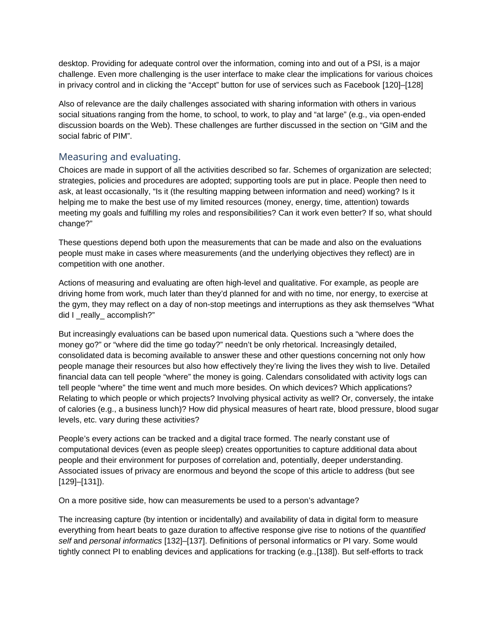desktop. Providing for adequate control over the information, coming into and out of a PSI, is a major challenge. Even more challenging is the user interface to make clear the implications for various choices in privacy control and in clicking the "Accept" button for use of services such as Facebook [120]–[128]

Also of relevance are the daily challenges associated with sharing information with others in various social situations ranging from the home, to school, to work, to play and "at large" (e.g., via open-ended discussion boards on the Web). These challenges are further discussed in the section on "GIM and the social fabric of PIM".

#### Measuring and evaluating.

Choices are made in support of all the activities described so far. Schemes of organization are selected; strategies, policies and procedures are adopted; supporting tools are put in place. People then need to ask, at least occasionally, "Is it (the resulting mapping between information and need) working? Is it helping me to make the best use of my limited resources (money, energy, time, attention) towards meeting my goals and fulfilling my roles and responsibilities? Can it work even better? If so, what should change?"

These questions depend both upon the measurements that can be made and also on the evaluations people must make in cases where measurements (and the underlying objectives they reflect) are in competition with one another.

Actions of measuring and evaluating are often high-level and qualitative. For example, as people are driving home from work, much later than they'd planned for and with no time, nor energy, to exercise at the gym, they may reflect on a day of non-stop meetings and interruptions as they ask themselves "What did I really accomplish?"

But increasingly evaluations can be based upon numerical data. Questions such a "where does the money go?" or "where did the time go today?" needn't be only rhetorical. Increasingly detailed, consolidated data is becoming available to answer these and other questions concerning not only how people manage their resources but also how effectively they're living the lives they wish to live. Detailed financial data can tell people "where" the money is going. Calendars consolidated with activity logs can tell people "where" the time went and much more besides. On which devices? Which applications? Relating to which people or which projects? Involving physical activity as well? Or, conversely, the intake of calories (e.g., a business lunch)? How did physical measures of heart rate, blood pressure, blood sugar levels, etc. vary during these activities?

People's every actions can be tracked and a digital trace formed. The nearly constant use of computational devices (even as people sleep) creates opportunities to capture additional data about people and their environment for purposes of correlation and, potentially, deeper understanding. Associated issues of privacy are enormous and beyond the scope of this article to address (but see [129]–[131]).

On a more positive side, how can measurements be used to a person's advantage?

The increasing capture (by intention or incidentally) and availability of data in digital form to measure everything from heart beats to gaze duration to affective response give rise to notions of the *quantified self* and *personal informatics* [132]–[137]. Definitions of personal informatics or PI vary. Some would tightly connect PI to enabling devices and applications for tracking (e.g.,[138]). But self-efforts to track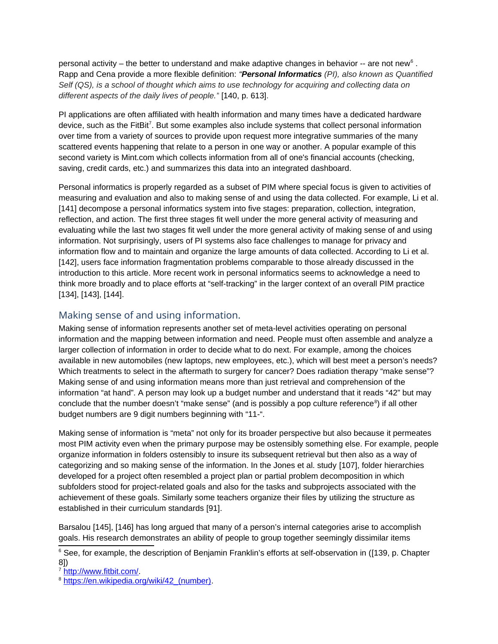personal activity – the better to understand and make adaptive changes in behavior -- are not new $^6$  $^6$  . Rapp and Cena provide a more flexible definition: *"Personal Informatics (PI), also known as Quantified Self (QS), is a school of thought which aims to use technology for acquiring and collecting data on different aspects of the daily lives of people."* [140, p. 613].

PI applications are often affiliated with health information and many times have a dedicated hardware device, such as the FitBit<sup>[7](#page-19-1)</sup>. But some examples also include systems that collect personal information over time from a variety of sources to provide upon request more integrative summaries of the many scattered events happening that relate to a person in one way or another. A popular example of this second variety is Mint.com which collects information from all of one's financial accounts (checking, saving, credit cards, etc.) and summarizes this data into an integrated dashboard.

Personal informatics is properly regarded as a subset of PIM where special focus is given to activities of measuring and evaluation and also to making sense of and using the data collected. For example, Li et al. [141] decompose a personal informatics system into five stages: preparation, collection, integration, reflection, and action. The first three stages fit well under the more general activity of measuring and evaluating while the last two stages fit well under the more general activity of making sense of and using information. Not surprisingly, users of PI systems also face challenges to manage for privacy and information flow and to maintain and organize the large amounts of data collected. According to Li et al. [142], users face information fragmentation problems comparable to those already discussed in the introduction to this article. More recent work in personal informatics seems to acknowledge a need to think more broadly and to place efforts at "self-tracking" in the larger context of an overall PIM practice [134], [143], [144].

#### Making sense of and using information.

Making sense of information represents another set of meta-level activities operating on personal information and the mapping between information and need. People must often assemble and analyze a larger collection of information in order to decide what to do next. For example, among the choices available in new automobiles (new laptops, new employees, etc.), which will best meet a person's needs? Which treatments to select in the aftermath to surgery for cancer? Does radiation therapy "make sense"? Making sense of and using information means more than just retrieval and comprehension of the information "at hand". A person may look up a budget number and understand that it reads "42" but may conclude that the number doesn't "make sense" (and is possibly a pop culture reference $^8$  $^8$ ) if all other budget numbers are 9 digit numbers beginning with "11-".

Making sense of information is "meta" not only for its broader perspective but also because it permeates most PIM activity even when the primary purpose may be ostensibly something else. For example, people organize information in folders ostensibly to insure its subsequent retrieval but then also as a way of categorizing and so making sense of the information. In the Jones et al. study [107], folder hierarchies developed for a project often resembled a project plan or partial problem decomposition in which subfolders stood for project-related goals and also for the tasks and subprojects associated with the achievement of these goals. Similarly some teachers organize their files by utilizing the structure as established in their curriculum standards [91].

Barsalou [145], [146] has long argued that many of a person's internal categories arise to accomplish goals. His research demonstrates an ability of people to group together seemingly dissimilar items

<span id="page-19-0"></span><sup>6</sup> See, for example, the description of Benjamin Franklin's efforts at self-observation in ([139, p. Chapter 8])

<span id="page-19-1"></span><sup>7</sup> <http://www.fitbit.com/>.

<span id="page-19-2"></span><sup>&</sup>lt;sup>8</sup> https://en.wikipedia.org/wiki/42 (number).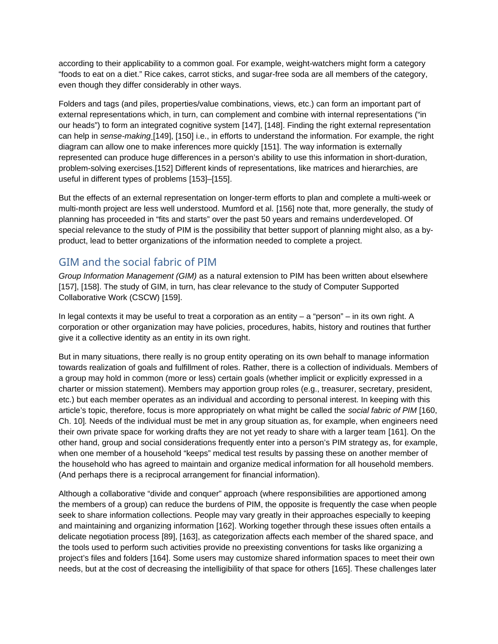according to their applicability to a common goal. For example, weight-watchers might form a category "foods to eat on a diet." Rice cakes, carrot sticks, and sugar-free soda are all members of the category, even though they differ considerably in other ways.

Folders and tags (and piles, properties/value combinations, views, etc.) can form an important part of external representations which, in turn, can complement and combine with internal representations ("in our heads") to form an integrated cognitive system [147], [148]. Finding the right external representation can help in *sense-making* [149], [150] i.e., in efforts to understand the information. For example, the right diagram can allow one to make inferences more quickly [151]. The way information is externally represented can produce huge differences in a person's ability to use this information in short-duration, problem-solving exercises.[152] Different kinds of representations, like matrices and hierarchies, are useful in different types of problems [153]–[155].

But the effects of an external representation on longer-term efforts to plan and complete a multi-week or multi-month project are less well understood. Mumford et al. [156] note that, more generally, the study of planning has proceeded in "fits and starts" over the past 50 years and remains underdeveloped. Of special relevance to the study of PIM is the possibility that better support of planning might also, as a byproduct, lead to better organizations of the information needed to complete a project.

#### GIM and the social fabric of PIM

*Group Information Management (GIM)* as a natural extension to PIM has been written about elsewhere [157], [158]. The study of GIM, in turn, has clear relevance to the study of Computer Supported Collaborative Work (CSCW) [159].

In legal contexts it may be useful to treat a corporation as an entity  $-$  a "person"  $-$  in its own right. A corporation or other organization may have policies, procedures, habits, history and routines that further give it a collective identity as an entity in its own right.

But in many situations, there really is no group entity operating on its own behalf to manage information towards realization of goals and fulfillment of roles. Rather, there is a collection of individuals. Members of a group may hold in common (more or less) certain goals (whether implicit or explicitly expressed in a charter or mission statement). Members may apportion group roles (e.g., treasurer, secretary, president, etc.) but each member operates as an individual and according to personal interest. In keeping with this article's topic, therefore, focus is more appropriately on what might be called the *social fabric of PIM* [160, Ch. 10]*.* Needs of the individual must be met in any group situation as, for example, when engineers need their own private space for working drafts they are not yet ready to share with a larger team [161]. On the other hand, group and social considerations frequently enter into a person's PIM strategy as, for example, when one member of a household "keeps" medical test results by passing these on another member of the household who has agreed to maintain and organize medical information for all household members. (And perhaps there is a reciprocal arrangement for financial information).

Although a collaborative "divide and conquer" approach (where responsibilities are apportioned among the members of a group) can reduce the burdens of PIM, the opposite is frequently the case when people seek to share information collections. People may vary greatly in their approaches especially to keeping and maintaining and organizing information [162]. Working together through these issues often entails a delicate negotiation process [89], [163], as categorization affects each member of the shared space, and the tools used to perform such activities provide no preexisting conventions for tasks like organizing a project's files and folders [164]. Some users may customize shared information spaces to meet their own needs, but at the cost of decreasing the intelligibility of that space for others [165]. These challenges later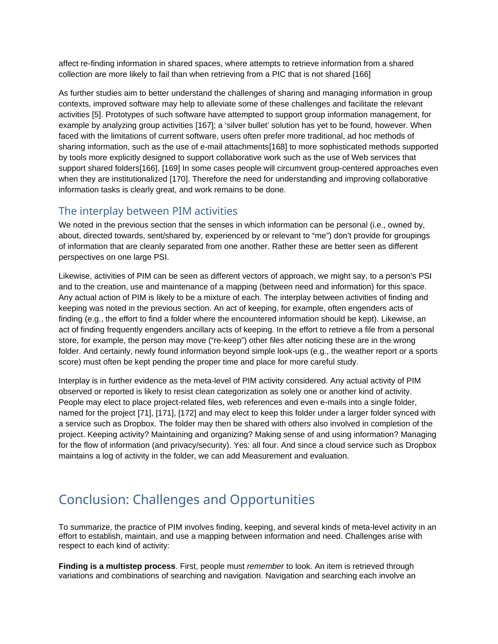affect re-finding information in shared spaces, where attempts to retrieve information from a shared collection are more likely to fail than when retrieving from a PIC that is not shared [166]

As further studies aim to better understand the challenges of sharing and managing information in group contexts, improved software may help to alleviate some of these challenges and facilitate the relevant activities [5]. Prototypes of such software have attempted to support group information management, for example by analyzing group activities [167]; a 'silver bullet' solution has yet to be found, however. When faced with the limitations of current software, users often prefer more traditional, ad hoc methods of sharing information, such as the use of e-mail attachments[168] to more sophisticated methods supported by tools more explicitly designed to support collaborative work such as the use of Web services that support shared folders[166], [169] In some cases people will circumvent group-centered approaches even when they are institutionalized [170]. Therefore the need for understanding and improving collaborative information tasks is clearly great, and work remains to be done.

#### The interplay between PIM activities

We noted in the previous section that the senses in which information can be personal (i.e., owned by, about, directed towards, sent/shared by, experienced by or relevant to "me") don't provide for groupings of information that are cleanly separated from one another. Rather these are better seen as different perspectives on one large PSI.

Likewise, activities of PIM can be seen as different vectors of approach, we might say, to a person's PSI and to the creation, use and maintenance of a mapping (between need and information) for this space. Any actual action of PIM is likely to be a mixture of each. The interplay between activities of finding and keeping was noted in the previous section. An act of keeping, for example, often engenders acts of finding (e.g., the effort to find a folder where the encountered information should be kept). Likewise, an act of finding frequently engenders ancillary acts of keeping. In the effort to retrieve a file from a personal store, for example, the person may move ("re-keep") other files after noticing these are in the wrong folder. And certainly, newly found information beyond simple look-ups (e.g., the weather report or a sports score) must often be kept pending the proper time and place for more careful study.

Interplay is in further evidence as the meta-level of PIM activity considered. Any actual activity of PIM observed or reported is likely to resist clean categorization as solely one or another kind of activity. People may elect to place project-related files, web references and even e-mails into a single folder, named for the project [71], [171], [172] and may elect to keep this folder under a larger folder synced with a service such as Dropbox. The folder may then be shared with others also involved in completion of the project. Keeping activity? Maintaining and organizing? Making sense of and using information? Managing for the flow of information (and privacy/security). Yes: all four. And since a cloud service such as Dropbox maintains a log of activity in the folder, we can add Measurement and evaluation.

# Conclusion: Challenges and Opportunities

To summarize, the practice of PIM involves finding, keeping, and several kinds of meta-level activity in an effort to establish, maintain, and use a mapping between information and need. Challenges arise with respect to each kind of activity:

**Finding is a multistep process**. First, people must *remember* to look. An item is retrieved through variations and combinations of searching and navigation. Navigation and searching each involve an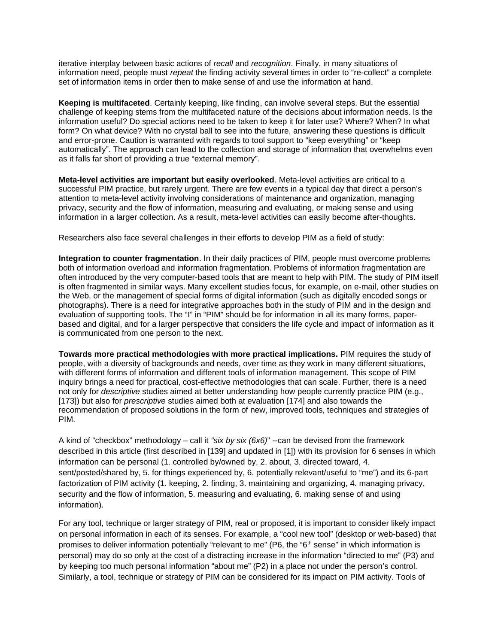iterative interplay between basic actions of *recall* and *recognition*. Finally, in many situations of information need, people must *repeat* the finding activity several times in order to "re-collect" a complete set of information items in order then to make sense of and use the information at hand.

**Keeping is multifaceted**. Certainly keeping, like finding, can involve several steps. But the essential challenge of keeping stems from the multifaceted nature of the decisions about information needs. Is the information useful? Do special actions need to be taken to keep it for later use? Where? When? In what form? On what device? With no crystal ball to see into the future, answering these questions is difficult and error-prone. Caution is warranted with regards to tool support to "keep everything" or "keep automatically". The approach can lead to the collection and storage of information that overwhelms even as it falls far short of providing a true "external memory".

**Meta-level activities are important but easily overlooked**. Meta-level activities are critical to a successful PIM practice, but rarely urgent. There are few events in a typical day that direct a person's attention to meta-level activity involving considerations of maintenance and organization, managing privacy, security and the flow of information, measuring and evaluating, or making sense and using information in a larger collection. As a result, meta-level activities can easily become after-thoughts.

Researchers also face several challenges in their efforts to develop PIM as a field of study:

**Integration to counter fragmentation**. In their daily practices of PIM, people must overcome problems both of information overload and information fragmentation. Problems of information fragmentation are often introduced by the very computer-based tools that are meant to help with PIM. The study of PIM itself is often fragmented in similar ways. Many excellent studies focus, for example, on e-mail, other studies on the Web, or the management of special forms of digital information (such as digitally encoded songs or photographs). There is a need for integrative approaches both in the study of PIM and in the design and evaluation of supporting tools. The "I" in "PIM" should be for information in all its many forms, paperbased and digital, and for a larger perspective that considers the life cycle and impact of information as it is communicated from one person to the next.

**Towards more practical methodologies with more practical implications.** PIM requires the study of people, with a diversity of backgrounds and needs, over time as they work in many different situations, with different forms of information and different tools of information management. This scope of PIM inquiry brings a need for practical, cost-effective methodologies that can scale. Further, there is a need not only for *descriptive* studies aimed at better understanding how people currently practice PIM (e.g., [173]) but also for *prescriptive* studies aimed both at evaluation [174] and also towards the recommendation of proposed solutions in the form of new, improved tools, techniques and strategies of PIM.

A kind of "checkbox" methodology – call it *"six by six (6x6)*" --can be devised from the framework described in this article (first described in [139] and updated in [1]) with its provision for 6 senses in which information can be personal (1. controlled by/owned by, 2. about, 3. directed toward, 4. sent/posted/shared by, 5. for things experienced by, 6. potentially relevant/useful to "me") and its 6-part factorization of PIM activity (1. keeping, 2. finding, 3. maintaining and organizing, 4. managing privacy, security and the flow of information, 5. measuring and evaluating, 6. making sense of and using information).

For any tool, technique or larger strategy of PIM, real or proposed, it is important to consider likely impact on personal information in each of its senses. For example, a "cool new tool" (desktop or web-based) that promises to deliver information potentially "relevant to me" (P6, the " $6<sup>th</sup>$  sense" in which information is personal) may do so only at the cost of a distracting increase in the information "directed to me" (P3) and by keeping too much personal information "about me" (P2) in a place not under the person's control. Similarly, a tool, technique or strategy of PIM can be considered for its impact on PIM activity. Tools of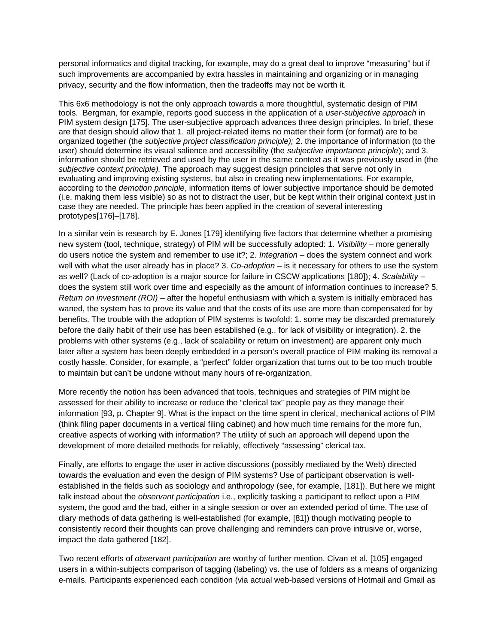personal informatics and digital tracking, for example, may do a great deal to improve "measuring" but if such improvements are accompanied by extra hassles in maintaining and organizing or in managing privacy, security and the flow information, then the tradeoffs may not be worth it.

This 6x6 methodology is not the only approach towards a more thoughtful, systematic design of PIM tools. Bergman, for example, reports good success in the application of a *user-subjective approach* in PIM system design [175]. The user-subjective approach advances three design principles. In brief, these are that design should allow that 1. all project-related items no matter their form (or format) are to be organized together (the *subjective project classification principle);* 2. the importance of information (to the user) should determine its visual salience and accessibility (the *subjective importance principle*); and 3. information should be retrieved and used by the user in the same context as it was previously used in (the *subjective context principle).* The approach may suggest design principles that serve not only in evaluating and improving existing systems, but also in creating new implementations. For example, according to the *demotion principle*, information items of lower subjective importance should be demoted (i.e. making them less visible) so as not to distract the user, but be kept within their original context just in case they are needed. The principle has been applied in the creation of several interesting prototypes[176]–[178].

In a similar vein is research by E. Jones [179] identifying five factors that determine whether a promising new system (tool, technique, strategy) of PIM will be successfully adopted: 1. *Visibility* – more generally do users notice the system and remember to use it?; 2. *Integration* – does the system connect and work well with what the user already has in place? 3. *Co-adoption* – is it necessary for others to use the system as well? (Lack of co-adoption is a major source for failure in CSCW applications [180]); 4. *Scalability* – does the system still work over time and especially as the amount of information continues to increase? 5. *Return on investment (ROI)* – after the hopeful enthusiasm with which a system is initially embraced has waned, the system has to prove its value and that the costs of its use are more than compensated for by benefits. The trouble with the adoption of PIM systems is twofold: 1. some may be discarded prematurely before the daily habit of their use has been established (e.g., for lack of visibility or integration). 2. the problems with other systems (e.g., lack of scalability or return on investment) are apparent only much later after a system has been deeply embedded in a person's overall practice of PIM making its removal a costly hassle. Consider, for example, a "perfect" folder organization that turns out to be too much trouble to maintain but can't be undone without many hours of re-organization.

More recently the notion has been advanced that tools, techniques and strategies of PIM might be assessed for their ability to increase or reduce the "clerical tax" people pay as they manage their information [93, p. Chapter 9]. What is the impact on the time spent in clerical, mechanical actions of PIM (think filing paper documents in a vertical filing cabinet) and how much time remains for the more fun, creative aspects of working with information? The utility of such an approach will depend upon the development of more detailed methods for reliably, effectively "assessing" clerical tax.

Finally, are efforts to engage the user in active discussions (possibly mediated by the Web) directed towards the evaluation and even the design of PIM systems? Use of participant observation is wellestablished in the fields such as sociology and anthropology (see, for example, [181]). But here we might talk instead about the *observant participation* i.e., explicitly tasking a participant to reflect upon a PIM system, the good and the bad, either in a single session or over an extended period of time. The use of diary methods of data gathering is well-established (for example, [81]) though motivating people to consistently record their thoughts can prove challenging and reminders can prove intrusive or, worse, impact the data gathered [182].

Two recent efforts of *observant participation* are worthy of further mention. Civan et al. [105] engaged users in a within-subjects comparison of tagging (labeling) vs. the use of folders as a means of organizing e-mails. Participants experienced each condition (via actual web-based versions of Hotmail and Gmail as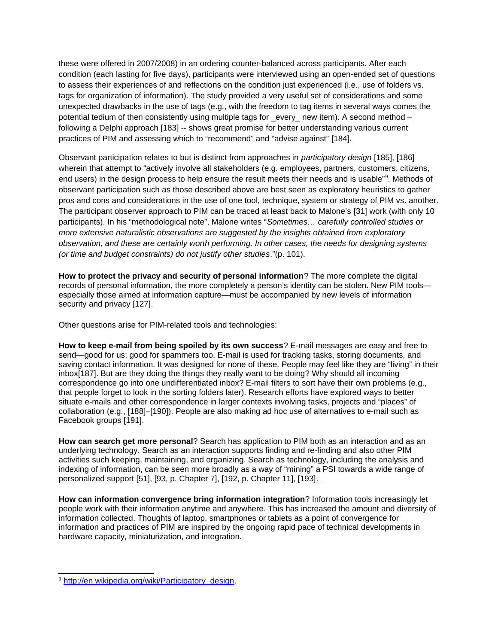these were offered in 2007/2008) in an ordering counter-balanced across participants. After each condition (each lasting for five days), participants were interviewed using an open-ended set of questions to assess their experiences of and reflections on the condition just experienced (i.e., use of folders vs. tags for organization of information). The study provided a very useful set of considerations and some unexpected drawbacks in the use of tags (e.g., with the freedom to tag items in several ways comes the potential tedium of then consistently using multiple tags for \_every\_ new item). A second method following a Delphi approach [183] -- shows great promise for better understanding various current practices of PIM and assessing which to "recommend" and "advise against" [184].

Observant participation relates to but is distinct from approaches in *participatory design* [185], [186] wherein that attempt to "actively involve all stakeholders (e.g. employees, partners, customers, citizens, end users) in the design process to help ensure the result meets their needs and is usable"<sup>[9](#page-24-0)</sup>. Methods of observant participation such as those described above are best seen as exploratory heuristics to gather pros and cons and considerations in the use of one tool, technique, system or strategy of PIM vs. another. The participant observer approach to PIM can be traced at least back to Malone's [31] work (with only 10 participants). In his "methodological note", Malone writes "*Sometimes… carefully controlled studies or more extensive naturalistic observations are suggested by the insights obtained from exploratory observation, and these are certainly worth performing. In other cases, the needs for designing systems (or time and budget constraints) do not justify other studies*."(p. 101).

**How to protect the privacy and security of personal information**? The more complete the digital records of personal information, the more completely a person's identity can be stolen. New PIM tools especially those aimed at information capture—must be accompanied by new levels of information security and privacy [127].

Other questions arise for PIM-related tools and technologies:

**How to keep e-mail from being spoiled by its own success**? E-mail messages are easy and free to send—good for us; good for spammers too. E-mail is used for tracking tasks, storing documents, and saving contact information. It was designed for none of these. People may feel like they are "living" in their inbox[187]. But are they doing the things they really want to be doing? Why should all incoming correspondence go into one undifferentiated inbox? E-mail filters to sort have their own problems (e.g., that people forget to look in the sorting folders later). Research efforts have explored ways to better situate e-mails and other correspondence in larger contexts involving tasks, projects and "places" of collaboration (e.g., [188]–[190]). People are also making ad hoc use of alternatives to e-mail such as Facebook groups [191].

**How can search get more personal**? Search has application to PIM both as an interaction and as an underlying technology. Search as an interaction supports finding and re-finding and also other PIM activities such keeping, maintaining, and organizing. Search as technology, including the analysis and indexing of information, can be seen more broadly as a way of "mining" a PSI towards a wide range of personalized support [51], [93, p. Chapter 7], [192, p. Chapter 11], [193].

**How can information convergence bring information integration**? Information tools increasingly let people work with their information anytime and anywhere. This has increased the amount and diversity of information collected. Thoughts of laptop, smartphones or tablets as a point of convergence for information and practices of PIM are inspired by the ongoing rapid pace of technical developments in hardware capacity, miniaturization, and integration.

<span id="page-24-0"></span><sup>&</sup>lt;sup>9</sup> [http://en.wikipedia.org/wiki/Participatory\\_design](http://en.wikipedia.org/wiki/Participatory_design).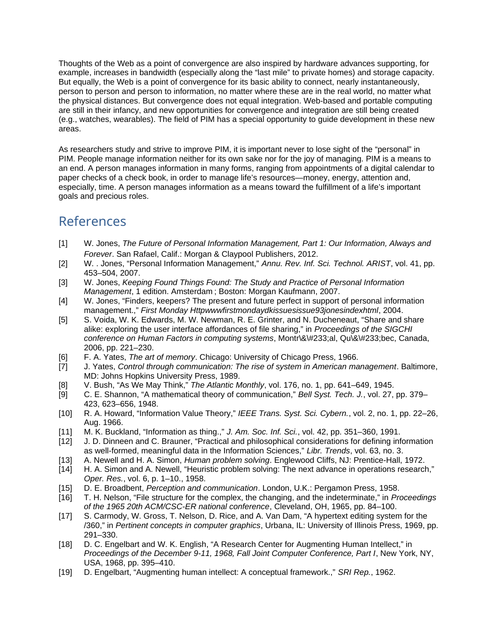Thoughts of the Web as a point of convergence are also inspired by hardware advances supporting, for example, increases in bandwidth (especially along the "last mile" to private homes) and storage capacity. But equally, the Web is a point of convergence for its basic ability to connect, nearly instantaneously, person to person and person to information, no matter where these are in the real world, no matter what the physical distances. But convergence does not equal integration. Web-based and portable computing are still in their infancy, and new opportunities for convergence and integration are still being created (e.g., watches, wearables). The field of PIM has a special opportunity to guide development in these new areas.

As researchers study and strive to improve PIM, it is important never to lose sight of the "personal" in PIM. People manage information neither for its own sake nor for the joy of managing. PIM is a means to an end. A person manages information in many forms, ranging from appointments of a digital calendar to paper checks of a check book, in order to manage life's resources—money, energy, attention and, especially, time. A person manages information as a means toward the fulfillment of a life's important goals and precious roles.

## References

- [1] W. Jones, *The Future of Personal Information Management, Part 1: Our Information, Always and Forever*. San Rafael, Calif.: Morgan & Claypool Publishers, 2012.
- [2] W. . Jones, "Personal Information Management," *Annu. Rev. Inf. Sci. Technol. ARIST*, vol. 41, pp. 453–504, 2007.
- [3] W. Jones, *Keeping Found Things Found: The Study and Practice of Personal Information Management*, 1 edition. Amsterdam ; Boston: Morgan Kaufmann, 2007.
- [4] W. Jones, "Finders, keepers? The present and future perfect in support of personal information management.," *First Monday Httpwwwfirstmondaydkissuesissue93jonesindexhtml*, 2004.
- [5] S. Voida, W. K. Edwards, M. W. Newman, R. E. Grinter, and N. Ducheneaut, "Share and share alike: exploring the user interface affordances of file sharing," in *Proceedings of the SIGCHI conference on Human Factors in computing systems*, Montr\&\#233;al, Qu\&\#233;bec, Canada, 2006, pp. 221–230.
- [6] F. A. Yates, *The art of memory*. Chicago: University of Chicago Press, 1966.
- [7] J. Yates, *Control through communication: The rise of system in American management*. Baltimore, MD: Johns Hopkins University Press, 1989.
- [8] V. Bush, "As We May Think," *The Atlantic Monthly*, vol. 176, no. 1, pp. 641–649, 1945.
- [9] C. E. Shannon, "A mathematical theory of communication," *Bell Syst. Tech. J.*, vol. 27, pp. 379– 423, 623–656, 1948.
- [10] R. A. Howard, "Information Value Theory," *IEEE Trans. Syst. Sci. Cybern.*, vol. 2, no. 1, pp. 22–26, Aug. 1966.
- [11] M. K. Buckland, "Information as thing.," *J. Am. Soc. Inf. Sci.*, vol. 42, pp. 351–360, 1991.
- [12] J. D. Dinneen and C. Brauner, "Practical and philosophical considerations for defining information as well-formed, meaningful data in the Information Sciences," *Libr. Trends*, vol. 63, no. 3.
- [13] A. Newell and H. A. Simon, *Human problem solving*. Englewood Cliffs, NJ: Prentice-Hall, 1972.
- [14] H. A. Simon and A. Newell, "Heuristic problem solving: The next advance in operations research," *Oper. Res.*, vol. 6, p. 1–10., 1958.
- [15] D. E. Broadbent, *Perception and communication*. London, U.K.: Pergamon Press, 1958.
- [16] T. H. Nelson, "File structure for the complex, the changing, and the indeterminate," in *Proceedings of the 1965 20th ACM/CSC-ER national conference*, Cleveland, OH, 1965, pp. 84–100.
- [17] S. Carmody, W. Gross, T. Nelson, D. Rice, and A. Van Dam, "A hypertext editing system for the /360," in *Pertinent concepts in computer graphics*, Urbana, IL: University of Illinois Press, 1969, pp. 291–330.
- [18] D. C. Engelbart and W. K. English, "A Research Center for Augmenting Human Intellect," in *Proceedings of the December 9-11, 1968, Fall Joint Computer Conference, Part I*, New York, NY, USA, 1968, pp. 395–410.
- [19] D. Engelbart, "Augmenting human intellect: A conceptual framework.," *SRI Rep.*, 1962.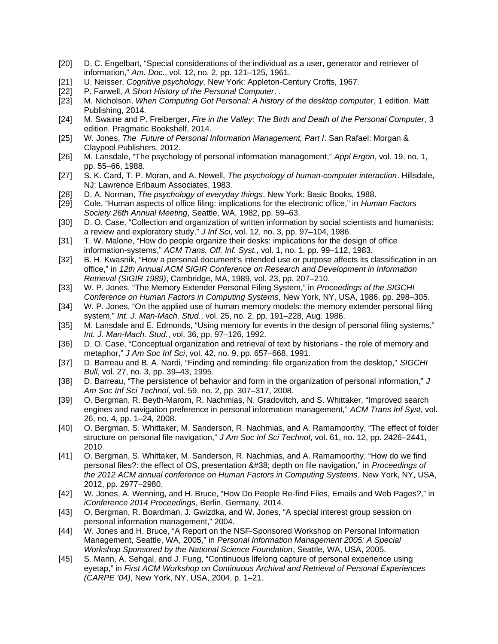- [20] D. C. Engelbart, "Special considerations of the individual as a user, generator and retriever of information," *Am. Doc.*, vol. 12, no. 2, pp. 121–125, 1961.
- [21] U. Neisser, *Cognitive psychology*. New York: Appleton-Century Crofts, 1967.
- [22] P. Farwell, A Short History of the Personal Computer. .
- [23] M. Nicholson, *When Computing Got Personal: A history of the desktop computer*, 1 edition. Matt Publishing, 2014.
- [24] M. Swaine and P. Freiberger, *Fire in the Valley: The Birth and Death of the Personal Computer*, 3 edition. Pragmatic Bookshelf, 2014.
- [25] W. Jones, *The Future of Personal Information Management, Part I*. San Rafael: Morgan & Claypool Publishers, 2012.
- [26] M. Lansdale, "The psychology of personal information management," *Appl Ergon*, vol. 19, no. 1, pp. 55–66, 1988.
- [27] S. K. Card, T. P. Moran, and A. Newell, *The psychology of human-computer interaction*. Hillsdale, NJ: Lawrence Erlbaum Associates, 1983.
- [28] D. A. Norman, *The psychology of everyday things*. New York: Basic Books, 1988.
- [29] Cole, "Human aspects of office filing: implications for the electronic office," in *Human Factors Society 26th Annual Meeting*, Seattle, WA, 1982, pp. 59–63.
- [30] D. O. Case, "Collection and organization of written information by social scientists and humanists: a review and exploratory study," *J Inf Sci*, vol. 12, no. 3, pp. 97–104, 1986.
- [31] T. W. Malone, "How do people organize their desks: implications for the design of office information-systems," *ACM Trans. Off. Inf. Syst.*, vol. 1, no. 1, pp. 99–112, 1983.
- [32] B. H. Kwasnik, "How a personal document's intended use or purpose affects its classification in an office," in *12th Annual ACM SIGIR Conference on Research and Development in Information Retrieval (SIGIR 1989)*, Cambridge, MA, 1989, vol. 23, pp. 207–210.
- [33] W. P. Jones, "The Memory Extender Personal Filing System," in *Proceedings of the SIGCHI Conference on Human Factors in Computing Systems*, New York, NY, USA, 1986, pp. 298–305.
- [34] W. P. Jones, "On the applied use of human memory models: the memory extender personal filing system," *Int. J. Man-Mach. Stud.*, vol. 25, no. 2, pp. 191–228, Aug. 1986.
- [35] M. Lansdale and E. Edmonds, "Using memory for events in the design of personal filing systems," *Int. J. Man-Mach. Stud.*, vol. 36, pp. 97–126, 1992.
- [36] D. O. Case, "Conceptual organization and retrieval of text by historians the role of memory and metaphor," *J Am Soc Inf Sci*, vol. 42, no. 9, pp. 657–668, 1991.
- [37] D. Barreau and B. A. Nardi, "Finding and reminding: file organization from the desktop," *SIGCHI Bull*, vol. 27, no. 3, pp. 39–43, 1995.
- [38] D. Barreau, "The persistence of behavior and form in the organization of personal information," *J Am Soc Inf Sci Technol*, vol. 59, no. 2, pp. 307–317, 2008.
- [39] O. Bergman, R. Beyth-Marom, R. Nachmias, N. Gradovitch, and S. Whittaker, "Improved search engines and navigation preference in personal information management," *ACM Trans Inf Syst*, vol. 26, no. 4, pp. 1–24, 2008.
- [40] O. Bergman, S. Whittaker, M. Sanderson, R. Nachmias, and A. Ramamoorthy, "The effect of folder structure on personal file navigation," *J Am Soc Inf Sci Technol*, vol. 61, no. 12, pp. 2426–2441, 2010.
- [41] O. Bergman, S. Whittaker, M. Sanderson, R. Nachmias, and A. Ramamoorthy, "How do we find personal files?: the effect of OS, presentation & depth on file navigation," in *Proceedings of the 2012 ACM annual conference on Human Factors in Computing Systems*, New York, NY, USA, 2012, pp. 2977–2980.
- [42] W. Jones, A. Wenning, and H. Bruce, "How Do People Re-find Files, Emails and Web Pages?," in *iConference 2014 Proceedings*, Berlin, Germany, 2014.
- [43] O. Bergman, R. Boardman, J. Gwizdka, and W. Jones, "A special interest group session on personal information management," 2004.
- [44] W. Jones and H. Bruce, "A Report on the NSF-Sponsored Workshop on Personal Information Management, Seattle, WA, 2005," in *Personal Information Management 2005: A Special Workshop Sponsored by the National Science Foundation*, Seattle, WA, USA, 2005.
- [45] S. Mann, A. Sehgal, and J. Fung, "Continuous lifelong capture of personal experience using eyetap," in *First ACM Workshop on Continuous Archival and Retrieval of Personal Experiences (CARPE '04)*, New York, NY, USA, 2004, p. 1–21.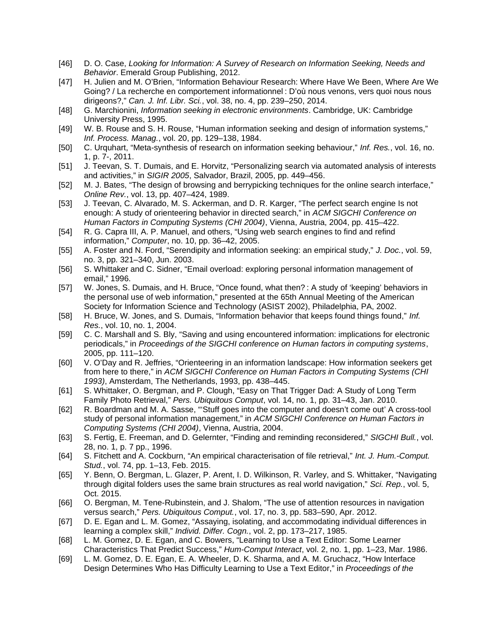- [46] D. O. Case, *Looking for Information: A Survey of Research on Information Seeking, Needs and Behavior*. Emerald Group Publishing, 2012.
- [47] H. Julien and M. O'Brien, "Information Behaviour Research: Where Have We Been, Where Are We Going? / La recherche en comportement informationnel : D'où nous venons, vers quoi nous nous dirigeons?," *Can. J. Inf. Libr. Sci.*, vol. 38, no. 4, pp. 239–250, 2014.
- [48] G. Marchionini, *Information seeking in electronic environments*. Cambridge, UK: Cambridge University Press, 1995.
- [49] W. B. Rouse and S. H. Rouse, "Human information seeking and design of information systems," *Inf. Process. Manag.*, vol. 20, pp. 129–138, 1984.
- [50] C. Urquhart, "Meta-synthesis of research on information seeking behaviour," *Inf. Res.*, vol. 16, no. 1, p. 7-, 2011.
- [51] J. Teevan, S. T. Dumais, and E. Horvitz, "Personalizing search via automated analysis of interests and activities," in *SIGIR 2005*, Salvador, Brazil, 2005, pp. 449–456.
- [52] M. J. Bates, "The design of browsing and berrypicking techniques for the online search interface," *Online Rev.*, vol. 13, pp. 407–424, 1989.
- [53] J. Teevan, C. Alvarado, M. S. Ackerman, and D. R. Karger, "The perfect search engine Is not enough: A study of orienteering behavior in directed search," in *ACM SIGCHI Conference on Human Factors in Computing Systems (CHI 2004)*, Vienna, Austria, 2004, pp. 415–422.
- [54] R. G. Capra III, A. P. Manuel, and others, "Using web search engines to find and refind information," *Computer*, no. 10, pp. 36–42, 2005.
- [55] A. Foster and N. Ford, "Serendipity and information seeking: an empirical study," *J. Doc.*, vol. 59, no. 3, pp. 321–340, Jun. 2003.
- [56] S. Whittaker and C. Sidner, "Email overload: exploring personal information management of email," 1996.
- [57] W. Jones, S. Dumais, and H. Bruce, "Once found, what then? : A study of 'keeping' behaviors in the personal use of web information," presented at the 65th Annual Meeting of the American Society for Information Science and Technology (ASIST 2002), Philadelphia, PA, 2002.
- [58] H. Bruce, W. Jones, and S. Dumais, "Information behavior that keeps found things found," *Inf. Res.*, vol. 10, no. 1, 2004.
- [59] C. C. Marshall and S. Bly, "Saving and using encountered information: implications for electronic periodicals," in *Proceedings of the SIGCHI conference on Human factors in computing systems*, 2005, pp. 111–120.
- [60] V. O'Day and R. Jeffries, "Orienteering in an information landscape: How information seekers get from here to there," in *ACM SIGCHI Conference on Human Factors in Computing Systems (CHI 1993)*, Amsterdam, The Netherlands, 1993, pp. 438–445.
- [61] S. Whittaker, O. Bergman, and P. Clough, "Easy on That Trigger Dad: A Study of Long Term Family Photo Retrieval," *Pers. Ubiquitous Comput*, vol. 14, no. 1, pp. 31–43, Jan. 2010.
- [62] R. Boardman and M. A. Sasse, "'Stuff goes into the computer and doesn't come out' A cross-tool study of personal information management," in *ACM SIGCHI Conference on Human Factors in Computing Systems (CHI 2004)*, Vienna, Austria, 2004.
- [63] S. Fertig, E. Freeman, and D. Gelernter, "Finding and reminding reconsidered," *SIGCHI Bull.*, vol. 28, no. 1, p. 7 pp., 1996.
- [64] S. Fitchett and A. Cockburn, "An empirical characterisation of file retrieval," *Int. J. Hum.-Comput. Stud.*, vol. 74, pp. 1–13, Feb. 2015.
- [65] Y. Benn, O. Bergman, L. Glazer, P. Arent, I. D. Wilkinson, R. Varley, and S. Whittaker, "Navigating through digital folders uses the same brain structures as real world navigation," *Sci. Rep.*, vol. 5, Oct. 2015.
- [66] O. Bergman, M. Tene-Rubinstein, and J. Shalom, "The use of attention resources in navigation versus search," *Pers. Ubiquitous Comput.*, vol. 17, no. 3, pp. 583–590, Apr. 2012.
- [67] D. E. Egan and L. M. Gomez, "Assaying, isolating, and accommodating individual differences in learning a complex skill," *Individ. Differ. Cogn.*, vol. 2, pp. 173–217, 1985.
- [68] L. M. Gomez, D. E. Egan, and C. Bowers, "Learning to Use a Text Editor: Some Learner Characteristics That Predict Success," *Hum-Comput Interact*, vol. 2, no. 1, pp. 1–23, Mar. 1986.
- [69] L. M. Gomez, D. E. Egan, E. A. Wheeler, D. K. Sharma, and A. M. Gruchacz, "How Interface Design Determines Who Has Difficulty Learning to Use a Text Editor," in *Proceedings of the*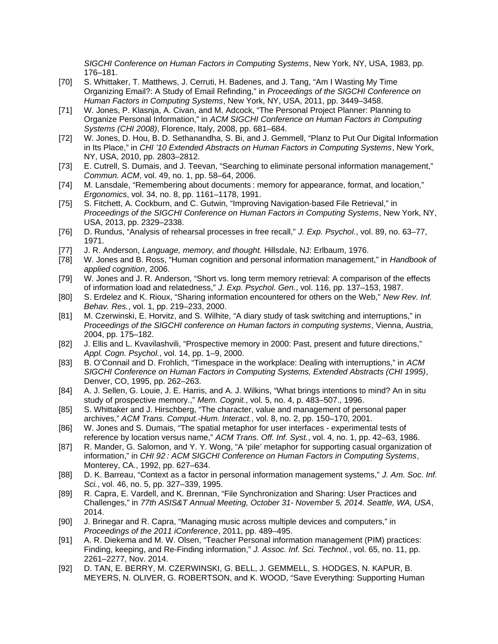*SIGCHI Conference on Human Factors in Computing Systems*, New York, NY, USA, 1983, pp. 176–181.

- [70] S. Whittaker, T. Matthews, J. Cerruti, H. Badenes, and J. Tang, "Am I Wasting My Time Organizing Email?: A Study of Email Refinding," in *Proceedings of the SIGCHI Conference on Human Factors in Computing Systems*, New York, NY, USA, 2011, pp. 3449–3458.
- [71] W. Jones, P. Klasnja, A. Civan, and M. Adcock, "The Personal Project Planner: Planning to Organize Personal Information," in *ACM SIGCHI Conference on Human Factors in Computing Systems (CHI 2008)*, Florence, Italy, 2008, pp. 681–684.
- [72] W. Jones, D. Hou, B. D. Sethanandha, S. Bi, and J. Gemmell, "Planz to Put Our Digital Information in Its Place," in *CHI '10 Extended Abstracts on Human Factors in Computing Systems*, New York, NY, USA, 2010, pp. 2803–2812.
- [73] E. Cutrell, S. Dumais, and J. Teevan, "Searching to eliminate personal information management," *Commun. ACM*, vol. 49, no. 1, pp. 58–64, 2006.
- [74] M. Lansdale, "Remembering about documents : memory for appearance, format, and location," *Ergonomics*, vol. 34, no. 8, pp. 1161–1178, 1991.
- [75] S. Fitchett, A. Cockburn, and C. Gutwin, "Improving Navigation-based File Retrieval," in *Proceedings of the SIGCHI Conference on Human Factors in Computing Systems*, New York, NY, USA, 2013, pp. 2329–2338.
- [76] D. Rundus, "Analysis of rehearsal processes in free recall," *J. Exp. Psychol.*, vol. 89, no. 63–77, 1971.
- [77] J. R. Anderson, *Language, memory, and thought.* Hillsdale, NJ: Erlbaum, 1976.
- [78] W. Jones and B. Ross, "Human cognition and personal information management," in *Handbook of applied cognition*, 2006.
- [79] W. Jones and J. R. Anderson, "Short vs. long term memory retrieval: A comparison of the effects of information load and relatedness," *J. Exp. Psychol. Gen.*, vol. 116, pp. 137–153, 1987.
- [80] S. Erdelez and K. Rioux, "Sharing information encountered for others on the Web," *New Rev. Inf. Behav. Res.*, vol. 1, pp. 219–233, 2000.
- [81] M. Czerwinski, E. Horvitz, and S. Wilhite, "A diary study of task switching and interruptions," in *Proceedings of the SIGCHI conference on Human factors in computing systems*, Vienna, Austria, 2004, pp. 175–182.
- [82] J. Ellis and L. Kvavilashvili, "Prospective memory in 2000: Past, present and future directions," *Appl. Cogn. Psychol.*, vol. 14, pp. 1–9, 2000.
- [83] B. O'Connail and D. Frohlich, "Timespace in the workplace: Dealing with interruptions," in *ACM SIGCHI Conference on Human Factors in Computing Systems, Extended Abstracts (CHI 1995)*, Denver, CO, 1995, pp. 262–263.
- [84] A. J. Sellen, G. Louie, J. E. Harris, and A. J. Wilkins, "What brings intentions to mind? An in situ study of prospective memory.," *Mem. Cognit.*, vol. 5, no. 4, p. 483–507., 1996.
- [85] S. Whittaker and J. Hirschberg, "The character, value and management of personal paper archives," *ACM Trans. Comput.-Hum. Interact.*, vol. 8, no. 2, pp. 150–170, 2001.
- [86] W. Jones and S. Dumais, "The spatial metaphor for user interfaces experimental tests of reference by location versus name," *ACM Trans. Off. Inf. Syst.*, vol. 4, no. 1, pp. 42–63, 1986.
- [87] R. Mander, G. Salomon, and Y. Y. Wong, "A 'pile' metaphor for supporting casual organization of information," in *CHI 92 : ACM SIGCHI Conference on Human Factors in Computing Systems*, Monterey, CA., 1992, pp. 627–634.
- [88] D. K. Barreau, "Context as a factor in personal information management systems," *J. Am. Soc. Inf. Sci.*, vol. 46, no. 5, pp. 327–339, 1995.
- [89] R. Capra, E. Vardell, and K. Brennan, "File Synchronization and Sharing: User Practices and Challenges," in *77th ASIS&T Annual Meeting, October 31- November 5, 2014. Seattle, WA, USA*, 2014.
- [90] J. Brinegar and R. Capra, "Managing music across multiple devices and computers," in *Proceedings of the 2011 iConference*, 2011, pp. 489–495.
- [91] A. R. Diekema and M. W. Olsen, "Teacher Personal information management (PIM) practices: Finding, keeping, and Re-Finding information," *J. Assoc. Inf. Sci. Technol.*, vol. 65, no. 11, pp. 2261–2277, Nov. 2014.
- [92] D. TAN, E. BERRY, M. CZERWINSKI, G. BELL, J. GEMMELL, S. HODGES, N. KAPUR, B. MEYERS, N. OLIVER, G. ROBERTSON, and K. WOOD, "Save Everything: Supporting Human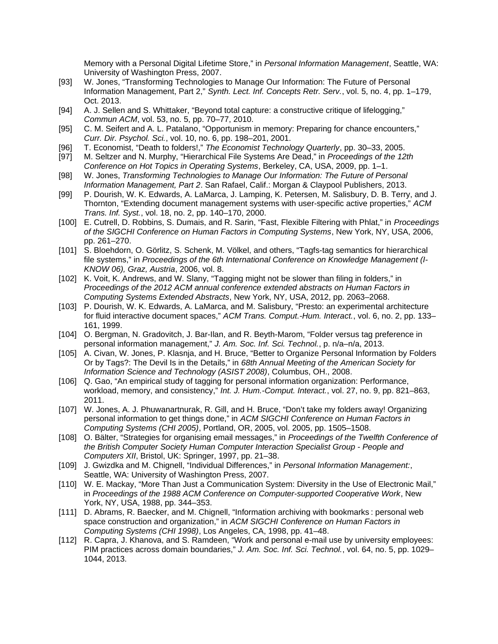Memory with a Personal Digital Lifetime Store," in *Personal Information Management*, Seattle, WA: University of Washington Press, 2007.

- [93] W. Jones, "Transforming Technologies to Manage Our Information: The Future of Personal Information Management, Part 2," *Synth. Lect. Inf. Concepts Retr. Serv.*, vol. 5, no. 4, pp. 1–179, Oct. 2013.
- [94] A. J. Sellen and S. Whittaker, "Beyond total capture: a constructive critique of lifelogging," *Commun ACM*, vol. 53, no. 5, pp. 70–77, 2010.
- [95] C. M. Seifert and A. L. Patalano, "Opportunism in memory: Preparing for chance encounters," *Curr. Dir. Psychol. Sci.*, vol. 10, no. 6, pp. 198–201, 2001.
- [96] T. Economist, "Death to folders!," *The Economist Technology Quarterly*, pp. 30–33, 2005.
- [97] M. Seltzer and N. Murphy, "Hierarchical File Systems Are Dead," in *Proceedings of the 12th Conference on Hot Topics in Operating Systems*, Berkeley, CA, USA, 2009, pp. 1–1.
- [98] W. Jones, *Transforming Technologies to Manage Our Information: The Future of Personal Information Management, Part 2*. San Rafael, Calif.: Morgan & Claypool Publishers, 2013.
- [99] P. Dourish, W. K. Edwards, A. LaMarca, J. Lamping, K. Petersen, M. Salisbury, D. B. Terry, and J. Thornton, "Extending document management systems with user-specific active properties," *ACM Trans. Inf. Syst.*, vol. 18, no. 2, pp. 140–170, 2000.
- [100] E. Cutrell, D. Robbins, S. Dumais, and R. Sarin, "Fast, Flexible Filtering with Phlat," in *Proceedings of the SIGCHI Conference on Human Factors in Computing Systems*, New York, NY, USA, 2006, pp. 261–270.
- [101] S. Bloehdorn, O. Görlitz, S. Schenk, M. Völkel, and others, "Tagfs-tag semantics for hierarchical file systems," in *Proceedings of the 6th International Conference on Knowledge Management (I-KNOW 06), Graz, Austria*, 2006, vol. 8.
- [102] K. Voit, K. Andrews, and W. Slany, "Tagging might not be slower than filing in folders," in *Proceedings of the 2012 ACM annual conference extended abstracts on Human Factors in Computing Systems Extended Abstracts*, New York, NY, USA, 2012, pp. 2063–2068.
- [103] P. Dourish, W. K. Edwards, A. LaMarca, and M. Salisbury, "Presto: an experimental architecture for fluid interactive document spaces," *ACM Trans. Comput.-Hum. Interact.*, vol. 6, no. 2, pp. 133– 161, 1999.
- [104] O. Bergman, N. Gradovitch, J. Bar-Ilan, and R. Beyth-Marom, "Folder versus tag preference in personal information management," *J. Am. Soc. Inf. Sci. Technol.*, p. n/a–n/a, 2013.
- [105] A. Civan, W. Jones, P. Klasnja, and H. Bruce, "Better to Organize Personal Information by Folders Or by Tags?: The Devil Is in the Details," in *68th Annual Meeting of the American Society for Information Science and Technology (ASIST 2008)*, Columbus, OH., 2008.
- [106] Q. Gao, "An empirical study of tagging for personal information organization: Performance, workload, memory, and consistency," *Int. J. Hum.-Comput. Interact.*, vol. 27, no. 9, pp. 821–863, 2011.
- [107] W. Jones, A. J. Phuwanartnurak, R. Gill, and H. Bruce, "Don't take my folders away! Organizing personal information to get things done," in *ACM SIGCHI Conference on Human Factors in Computing Systems (CHI 2005)*, Portland, OR, 2005, vol. 2005, pp. 1505–1508.
- [108] O. Bälter, "Strategies for organising email messages," in *Proceedings of the Twelfth Conference of the British Computer Society Human Computer Interaction Specialist Group - People and Computers XII*, Bristol, UK: Springer, 1997, pp. 21–38.
- [109] J. Gwizdka and M. Chignell, "Individual Differences," in *Personal Information Management:*, Seattle, WA: University of Washington Press, 2007.
- [110] W. E. Mackay, "More Than Just a Communication System: Diversity in the Use of Electronic Mail," in *Proceedings of the 1988 ACM Conference on Computer-supported Cooperative Work*, New York, NY, USA, 1988, pp. 344–353.
- [111] D. Abrams, R. Baecker, and M. Chignell, "Information archiving with bookmarks : personal web space construction and organization," in *ACM SIGCHI Conference on Human Factors in Computing Systems (CHI 1998)*, Los Angeles, CA, 1998, pp. 41–48.
- [112] R. Capra, J. Khanova, and S. Ramdeen, "Work and personal e-mail use by university employees: PIM practices across domain boundaries," *J. Am. Soc. Inf. Sci. Technol.*, vol. 64, no. 5, pp. 1029– 1044, 2013.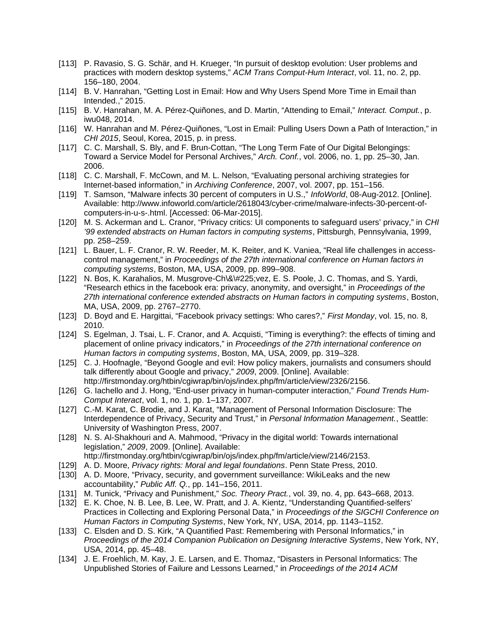- [113] P. Ravasio, S. G. Schär, and H. Krueger, "In pursuit of desktop evolution: User problems and practices with modern desktop systems," *ACM Trans Comput-Hum Interact*, vol. 11, no. 2, pp. 156–180, 2004.
- [114] B. V. Hanrahan, "Getting Lost in Email: How and Why Users Spend More Time in Email than Intended.," 2015.
- [115] B. V. Hanrahan, M. A. Pérez-Quiñones, and D. Martin, "Attending to Email," *Interact. Comput.*, p. iwu048, 2014.
- [116] W. Hanrahan and M. Pérez-Quiñones, "Lost in Email: Pulling Users Down a Path of Interaction," in *CHI 2015*, Seoul, Korea, 2015, p. in press.
- [117] C. C. Marshall, S. Bly, and F. Brun-Cottan, "The Long Term Fate of Our Digital Belongings: Toward a Service Model for Personal Archives," *Arch. Conf.*, vol. 2006, no. 1, pp. 25–30, Jan. 2006.
- [118] C. C. Marshall, F. McCown, and M. L. Nelson, "Evaluating personal archiving strategies for Internet-based information," in *Archiving Conference*, 2007, vol. 2007, pp. 151–156.
- [119] T. Samson, "Malware infects 30 percent of computers in U.S.," *InfoWorld*, 08-Aug-2012. [Online]. Available: http://www.infoworld.com/article/2618043/cyber-crime/malware-infects-30-percent-ofcomputers-in-u-s-.html. [Accessed: 06-Mar-2015].
- [120] M. S. Ackerman and L. Cranor, "Privacy critics: UI components to safeguard users' privacy," in *CHI '99 extended abstracts on Human factors in computing systems*, Pittsburgh, Pennsylvania, 1999, pp. 258–259.
- [121] L. Bauer, L. F. Cranor, R. W. Reeder, M. K. Reiter, and K. Vaniea, "Real life challenges in accesscontrol management," in *Proceedings of the 27th international conference on Human factors in computing systems*, Boston, MA, USA, 2009, pp. 899–908.
- [122] N. Bos, K. Karahalios, M. Musgrove-Ch\&\#225;vez, E. S. Poole, J. C. Thomas, and S. Yardi, "Research ethics in the facebook era: privacy, anonymity, and oversight," in *Proceedings of the 27th international conference extended abstracts on Human factors in computing systems*, Boston, MA, USA, 2009, pp. 2767–2770.
- [123] D. Boyd and E. Hargittai, "Facebook privacy settings: Who cares?," *First Monday*, vol. 15, no. 8, 2010.
- [124] S. Egelman, J. Tsai, L. F. Cranor, and A. Acquisti, "Timing is everything?: the effects of timing and placement of online privacy indicators," in *Proceedings of the 27th international conference on Human factors in computing systems*, Boston, MA, USA, 2009, pp. 319–328.
- [125] C. J. Hoofnagle, "Beyond Google and evil: How policy makers, journalists and consumers should talk differently about Google and privacy," *2009*, 2009. [Online]. Available: http://firstmonday.org/htbin/cgiwrap/bin/ojs/index.php/fm/article/view/2326/2156.
- [126] G. Iachello and J. Hong, "End-user privacy in human-computer interaction," *Found Trends Hum-Comput Interact*, vol. 1, no. 1, pp. 1–137, 2007.
- [127] C.-M. Karat, C. Brodie, and J. Karat, "Management of Personal Information Disclosure: The Interdependence of Privacy, Security and Trust," in *Personal Information Management.*, Seattle: University of Washington Press, 2007.
- [128] N. S. Al-Shakhouri and A. Mahmood, "Privacy in the digital world: Towards international legislation," *2009*, 2009. [Online]. Available:
	- http://firstmonday.org/htbin/cgiwrap/bin/ojs/index.php/fm/article/view/2146/2153.
- [129] A. D. Moore, *Privacy rights: Moral and legal foundations*. Penn State Press, 2010.
- [130] A. D. Moore, "Privacy, security, and government surveillance: WikiLeaks and the new accountability," *Public Aff. Q.*, pp. 141–156, 2011.
- [131] M. Tunick, "Privacy and Punishment," *Soc. Theory Pract.*, vol. 39, no. 4, pp. 643–668, 2013.
- [132] E. K. Choe, N. B. Lee, B. Lee, W. Pratt, and J. A. Kientz, "Understanding Quantified-selfers' Practices in Collecting and Exploring Personal Data," in *Proceedings of the SIGCHI Conference on Human Factors in Computing Systems*, New York, NY, USA, 2014, pp. 1143–1152.
- [133] C. Elsden and D. S. Kirk, "A Quantified Past: Remembering with Personal Informatics," in *Proceedings of the 2014 Companion Publication on Designing Interactive Systems*, New York, NY, USA, 2014, pp. 45–48.
- [134] J. E. Froehlich, M. Kay, J. E. Larsen, and E. Thomaz, "Disasters in Personal Informatics: The Unpublished Stories of Failure and Lessons Learned," in *Proceedings of the 2014 ACM*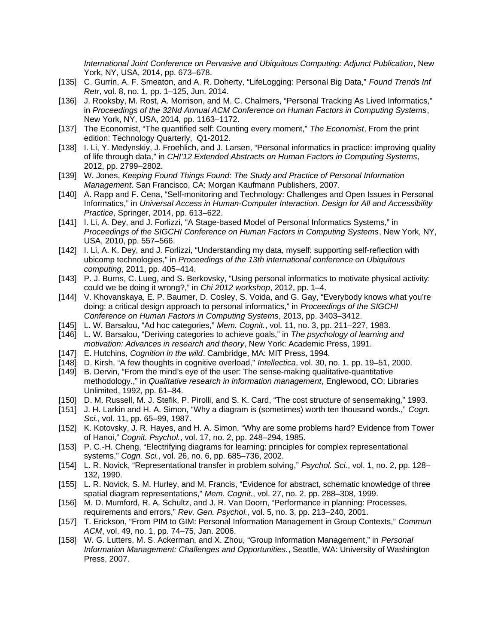*International Joint Conference on Pervasive and Ubiquitous Computing: Adjunct Publication*, New York, NY, USA, 2014, pp. 673–678.

- [135] C. Gurrin, A. F. Smeaton, and A. R. Doherty, "LifeLogging: Personal Big Data," *Found Trends Inf Retr*, vol. 8, no. 1, pp. 1–125, Jun. 2014.
- [136] J. Rooksby, M. Rost, A. Morrison, and M. C. Chalmers, "Personal Tracking As Lived Informatics," in *Proceedings of the 32Nd Annual ACM Conference on Human Factors in Computing Systems*, New York, NY, USA, 2014, pp. 1163–1172.
- [137] The Economist, "The quantified self: Counting every moment," *The Economist*, From the print edition: Technology Quarterly, Q1-2012.
- [138] I. Li, Y. Medynskiy, J. Froehlich, and J. Larsen, "Personal informatics in practice: improving quality of life through data," in *CHI'12 Extended Abstracts on Human Factors in Computing Systems*, 2012, pp. 2799–2802.
- [139] W. Jones, *Keeping Found Things Found: The Study and Practice of Personal Information Management*. San Francisco, CA: Morgan Kaufmann Publishers, 2007.
- [140] A. Rapp and F. Cena, "Self-monitoring and Technology: Challenges and Open Issues in Personal Informatics," in *Universal Access in Human-Computer Interaction. Design for All and Accessibility Practice*, Springer, 2014, pp. 613–622.
- [141] I. Li, A. Dey, and J. Forlizzi, "A Stage-based Model of Personal Informatics Systems," in *Proceedings of the SIGCHI Conference on Human Factors in Computing Systems*, New York, NY, USA, 2010, pp. 557–566.
- [142] I. Li, A. K. Dey, and J. Forlizzi, "Understanding my data, myself: supporting self-reflection with ubicomp technologies," in *Proceedings of the 13th international conference on Ubiquitous computing*, 2011, pp. 405–414.
- [143] P. J. Burns, C. Lueg, and S. Berkovsky, "Using personal informatics to motivate physical activity: could we be doing it wrong?," in *Chi 2012 workshop*, 2012, pp. 1–4.
- [144] V. Khovanskaya, E. P. Baumer, D. Cosley, S. Voida, and G. Gay, "Everybody knows what you're doing: a critical design approach to personal informatics," in *Proceedings of the SIGCHI Conference on Human Factors in Computing Systems*, 2013, pp. 3403–3412.
- [145] L. W. Barsalou, "Ad hoc categories," *Mem. Cognit.*, vol. 11, no. 3, pp. 211–227, 1983.
- [146] L. W. Barsalou, "Deriving categories to achieve goals," in *The psychology of learning and motivation: Advances in research and theory*, New York: Academic Press, 1991.
- [147] E. Hutchins, *Cognition in the wild*. Cambridge, MA: MIT Press, 1994.
- [148] D. Kirsh, "A few thoughts in cognitive overload," *Intellectica*, vol. 30, no. 1, pp. 19–51, 2000.
- [149] B. Dervin, "From the mind's eye of the user: The sense-making qualitative-quantitative methodology.," in *Qualitative research in information management*, Englewood, CO: Libraries Unlimited, 1992, pp. 61–84.
- [150] D. M. Russell, M. J. Stefik, P. Pirolli, and S. K. Card, "The cost structure of sensemaking," 1993.
- [151] J. H. Larkin and H. A. Simon, "Why a diagram is (sometimes) worth ten thousand words.," *Cogn. Sci.*, vol. 11, pp. 65–99, 1987.
- [152] K. Kotovsky, J. R. Hayes, and H. A. Simon, "Why are some problems hard? Evidence from Tower of Hanoi," *Cognit. Psychol.*, vol. 17, no. 2, pp. 248–294, 1985.
- [153] P. C.-H. Cheng, "Electrifying diagrams for learning: principles for complex representational systems," *Cogn. Sci.*, vol. 26, no. 6, pp. 685–736, 2002.
- [154] L. R. Novick, "Representational transfer in problem solving," *Psychol. Sci.*, vol. 1, no. 2, pp. 128– 132, 1990.
- [155] L. R. Novick, S. M. Hurley, and M. Francis, "Evidence for abstract, schematic knowledge of three spatial diagram representations," *Mem. Cognit.*, vol. 27, no. 2, pp. 288–308, 1999.
- [156] M. D. Mumford, R. A. Schultz, and J. R. Van Doorn, "Performance in planning: Processes, requirements and errors," *Rev. Gen. Psychol.*, vol. 5, no. 3, pp. 213–240, 2001.
- [157] T. Erickson, "From PIM to GIM: Personal Information Management in Group Contexts," *Commun ACM*, vol. 49, no. 1, pp. 74–75, Jan. 2006.
- [158] W. G. Lutters, M. S. Ackerman, and X. Zhou, "Group Information Management," in *Personal Information Management: Challenges and Opportunities.*, Seattle, WA: University of Washington Press, 2007.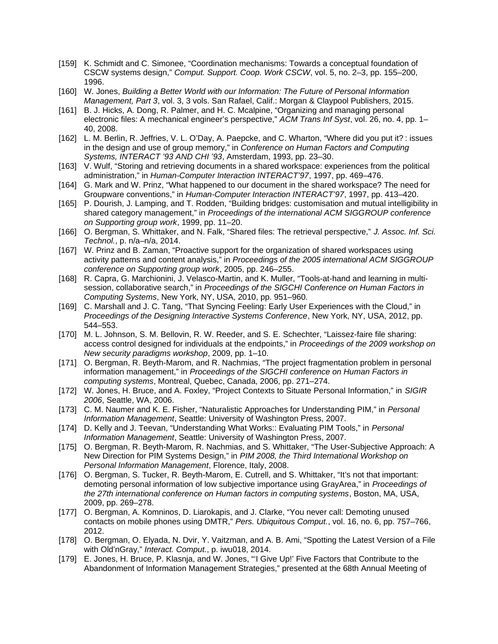- [159] K. Schmidt and C. Simonee, "Coordination mechanisms: Towards a conceptual foundation of CSCW systems design," *Comput. Support. Coop. Work CSCW*, vol. 5, no. 2–3, pp. 155–200, 1996.
- [160] W. Jones, *Building a Better World with our Information: The Future of Personal Information Management, Part 3*, vol. 3, 3 vols. San Rafael, Calif.: Morgan & Claypool Publishers, 2015.
- [161] B. J. Hicks, A. Dong, R. Palmer, and H. C. Mcalpine, "Organizing and managing personal electronic files: A mechanical engineer's perspective," *ACM Trans Inf Syst*, vol. 26, no. 4, pp. 1– 40, 2008.
- [162] L. M. Berlin, R. Jeffries, V. L. O'Day, A. Paepcke, and C. Wharton, "Where did you put it? : issues in the design and use of group memory," in *Conference on Human Factors and Computing Systems, INTERACT '93 AND CHI '93*, Amsterdam, 1993, pp. 23–30.
- [163] V. Wulf, "Storing and retrieving documents in a shared workspace: experiences from the political administration," in *Human-Computer Interaction INTERACT'97*, 1997, pp. 469–476.
- [164] G. Mark and W. Prinz, "What happened to our document in the shared workspace? The need for Groupware conventions," in *Human-Computer Interaction INTERACT'97*, 1997, pp. 413–420.
- [165] P. Dourish, J. Lamping, and T. Rodden, "Building bridges: customisation and mutual intelligibility in shared category management," in *Proceedings of the international ACM SIGGROUP conference on Supporting group work*, 1999, pp. 11–20.
- [166] O. Bergman, S. Whittaker, and N. Falk, "Shared files: The retrieval perspective," *J. Assoc. Inf. Sci. Technol.*, p. n/a–n/a, 2014.
- [167] W. Prinz and B. Zaman, "Proactive support for the organization of shared workspaces using activity patterns and content analysis," in *Proceedings of the 2005 international ACM SIGGROUP conference on Supporting group work*, 2005, pp. 246–255.
- [168] R. Capra, G. Marchionini, J. Velasco-Martin, and K. Muller, "Tools-at-hand and learning in multisession, collaborative search," in *Proceedings of the SIGCHI Conference on Human Factors in Computing Systems*, New York, NY, USA, 2010, pp. 951–960.
- [169] C. Marshall and J. C. Tang, "That Syncing Feeling: Early User Experiences with the Cloud," in *Proceedings of the Designing Interactive Systems Conference*, New York, NY, USA, 2012, pp. 544–553.
- [170] M. L. Johnson, S. M. Bellovin, R. W. Reeder, and S. E. Schechter, "Laissez-faire file sharing: access control designed for individuals at the endpoints," in *Proceedings of the 2009 workshop on New security paradigms workshop*, 2009, pp. 1–10.
- [171] O. Bergman, R. Beyth-Marom, and R. Nachmias, "The project fragmentation problem in personal information management," in *Proceedings of the SIGCHI conference on Human Factors in computing systems*, Montreal, Quebec, Canada, 2006, pp. 271–274.
- [172] W. Jones, H. Bruce, and A. Foxley, "Project Contexts to Situate Personal Information," in *SIGIR 2006*, Seattle, WA, 2006.
- [173] C. M. Naumer and K. E. Fisher, "Naturalistic Approaches for Understanding PIM," in *Personal Information Management*, Seattle: University of Washington Press, 2007.
- [174] D. Kelly and J. Teevan, "Understanding What Works:: Evaluating PIM Tools," in *Personal Information Management*, Seattle: University of Washington Press, 2007.
- [175] O. Bergman, R. Beyth-Marom, R. Nachmias, and S. Whittaker, "The User-Subjective Approach: A New Direction for PIM Systems Design," in *PIM 2008, the Third International Workshop on Personal Information Management*, Florence, Italy, 2008.
- [176] O. Bergman, S. Tucker, R. Beyth-Marom, E. Cutrell, and S. Whittaker, "It's not that important: demoting personal information of low subjective importance using GrayArea," in *Proceedings of the 27th international conference on Human factors in computing systems*, Boston, MA, USA, 2009, pp. 269–278.
- [177] O. Bergman, A. Komninos, D. Liarokapis, and J. Clarke, "You never call: Demoting unused contacts on mobile phones using DMTR," *Pers. Ubiquitous Comput.*, vol. 16, no. 6, pp. 757–766, 2012.
- [178] O. Bergman, O. Elyada, N. Dvir, Y. Vaitzman, and A. B. Ami, "Spotting the Latest Version of a File with Old'nGray," *Interact. Comput.*, p. iwu018, 2014.
- [179] E. Jones, H. Bruce, P. Klasnja, and W. Jones, "'I Give Up!' Five Factors that Contribute to the Abandonment of Information Management Strategies," presented at the 68th Annual Meeting of